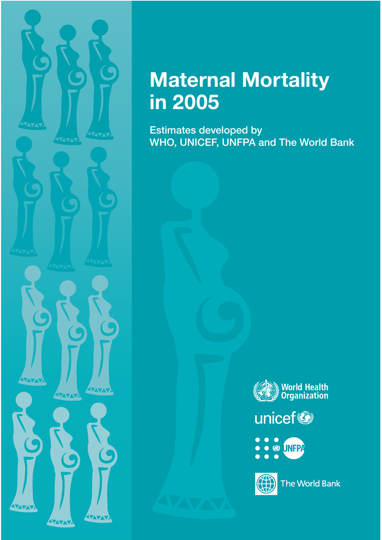

**AVAN** 

ZVX

AZAZA

VAVAV

AZYA

**IVAVAV** 

ZITATA

AZATAT

**Estimates developed by WHO, UNICEF, UNFPA and The World Bank**



unicef<sup>®</sup>



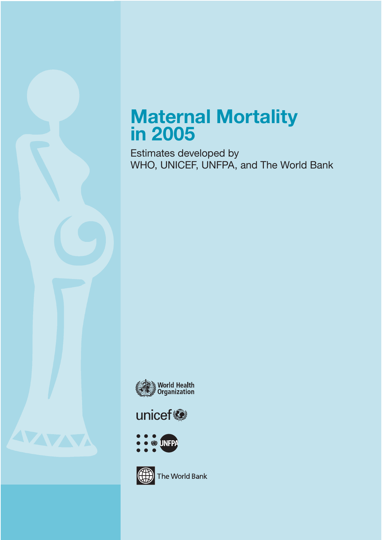# **Maternal Mortality in 2005**

Estimates developed by WHO, UNICEF, UNFPA, and The World Bank



# unicef®





The World Bank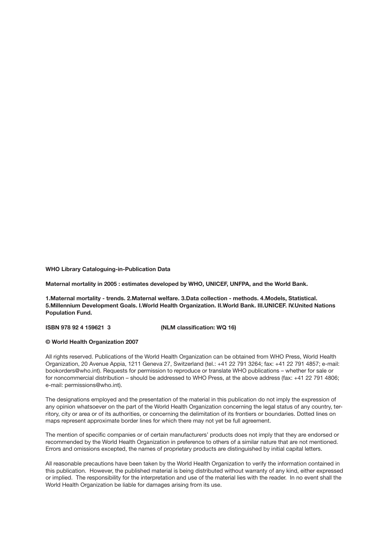**WHO Library Cataloguing-in-Publication Data**

**Maternal mortality in 2005 : estimates developed by WHO, UNICEF, UNFPA, and the World Bank.**

**1.Maternal mortality - trends. 2.Maternal welfare. 3.Data collection - methods. 4.Models, Statistical. 5.Millennium Development Goals. I.World Health Organization. II.World Bank. III.UNICEF. IV.United Nations Population Fund.**

**ISBN 978 92 4 159621 3 (NLM classification: WQ 16)**

#### **© World Health Organization 2007**

All rights reserved. Publications of the World Health Organization can be obtained from WHO Press, World Health Organization, 20 Avenue Appia, 1211 Geneva 27, Switzerland (tel.: +41 22 791 3264; fax: +41 22 791 4857; e-mail: bookorders@who.int). Requests for permission to reproduce or translate WHO publications – whether for sale or for noncommercial distribution – should be addressed to WHO Press, at the above address (fax: +41 22 791 4806; e-mail: permissions@who.int).

The designations employed and the presentation of the material in this publication do not imply the expression of any opinion whatsoever on the part of the World Health Organization concerning the legal status of any country, territory, city or area or of its authorities, or concerning the delimitation of its frontiers or boundaries. Dotted lines on maps represent approximate border lines for which there may not yet be full agreement.

The mention of specific companies or of certain manufacturers' products does not imply that they are endorsed or recommended by the World Health Organization in preference to others of a similar nature that are not mentioned. Errors and omissions excepted, the names of proprietary products are distinguished by initial capital letters.

All reasonable precautions have been taken by the World Health Organization to verify the information contained in this publication. However, the published material is being distributed without warranty of any kind, either expressed or implied. The responsibility for the interpretation and use of the material lies with the reader. In no event shall the World Health Organization be liable for damages arising from its use.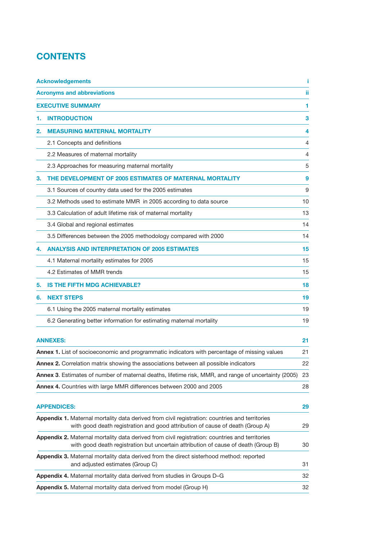# **CONTENTS**

|    | <b>Acknowledgements</b>                                                                                                                                                              |    |
|----|--------------------------------------------------------------------------------------------------------------------------------------------------------------------------------------|----|
|    | <b>Acronyms and abbreviations</b>                                                                                                                                                    | ïi |
|    | <b>EXECUTIVE SUMMARY</b>                                                                                                                                                             | 1  |
| 1. | <b>INTRODUCTION</b>                                                                                                                                                                  | 3  |
| 2. | <b>MEASURING MATERNAL MORTALITY</b>                                                                                                                                                  | 4  |
|    | 2.1 Concepts and definitions                                                                                                                                                         | 4  |
|    | 2.2 Measures of maternal mortality                                                                                                                                                   | 4  |
|    | 2.3 Approaches for measuring maternal mortality                                                                                                                                      | 5  |
| З. | THE DEVELOPMENT OF 2005 ESTIMATES OF MATERNAL MORTALITY                                                                                                                              | 9  |
|    | 3.1 Sources of country data used for the 2005 estimates                                                                                                                              | 9  |
|    | 3.2 Methods used to estimate MMR in 2005 according to data source                                                                                                                    | 10 |
|    | 3.3 Calculation of adult lifetime risk of maternal mortality                                                                                                                         | 13 |
|    | 3.4 Global and regional estimates                                                                                                                                                    | 14 |
|    | 3.5 Differences between the 2005 methodology compared with 2000                                                                                                                      | 14 |
| 4. | <b>ANALYSIS AND INTERPRETATION OF 2005 ESTIMATES</b>                                                                                                                                 | 15 |
|    | 4.1 Maternal mortality estimates for 2005                                                                                                                                            | 15 |
|    | 4.2 Estimates of MMR trends                                                                                                                                                          | 15 |
| 5. | <b>IS THE FIFTH MDG ACHIEVABLE?</b>                                                                                                                                                  | 18 |
| 6. | <b>NEXT STEPS</b>                                                                                                                                                                    | 19 |
|    | 6.1 Using the 2005 maternal mortality estimates                                                                                                                                      | 19 |
|    | 6.2 Generating better information for estimating maternal mortality                                                                                                                  | 19 |
|    |                                                                                                                                                                                      |    |
|    | <b>ANNEXES:</b>                                                                                                                                                                      | 21 |
|    | Annex 1. List of socioeconomic and programmatic indicators with percentage of missing values                                                                                         | 21 |
|    | <b>Annex 2.</b> Correlation matrix showing the associations between all possible indicators                                                                                          | 22 |
|    | Annex 3. Estimates of number of maternal deaths, lifetime risk, MMR, and range of uncertainty (2005)                                                                                 | 23 |
|    | Annex 4. Countries with large MMR differences between 2000 and 2005                                                                                                                  | 28 |
|    | <b>APPENDICES:</b>                                                                                                                                                                   | 29 |
|    | Appendix 1. Maternal mortality data derived from civil registration: countries and territories<br>with good death registration and good attribution of cause of death (Group A)      | 29 |
|    | Appendix 2. Maternal mortality data derived from civil registration: countries and territories<br>with good death registration but uncertain attribution of cause of death (Group B) | 30 |
|    | Appendix 3. Maternal mortality data derived from the direct sisterhood method: reported<br>and adjusted estimates (Group C)                                                          | 31 |
|    | Appendix 4. Maternal mortality data derived from studies in Groups D-G                                                                                                               | 32 |
|    | Appendix 5. Maternal mortality data derived from model (Group H)                                                                                                                     | 32 |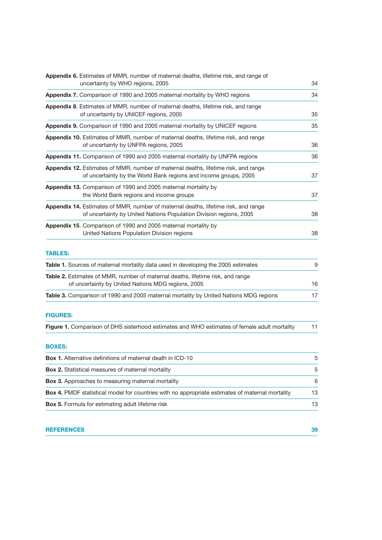| Appendix 6. Estimates of MMR, number of maternal deaths, lifetime risk, and range of<br>uncertainty by WHO regions, 2005                                        |    |  |  |  |
|-----------------------------------------------------------------------------------------------------------------------------------------------------------------|----|--|--|--|
| Appendix 7. Comparison of 1990 and 2005 maternal mortality by WHO regions                                                                                       | 34 |  |  |  |
| <b>Appendix 8.</b> Estimates of MMR, number of maternal deaths, lifetime risk, and range<br>of uncertainty by UNICEF regions, 2005                              | 35 |  |  |  |
| Appendix 9. Comparison of 1990 and 2005 maternal mortality by UNICEF regions                                                                                    | 35 |  |  |  |
| Appendix 10. Estimates of MMR, number of maternal deaths, lifetime risk, and range<br>of uncertainty by UNFPA regions, 2005                                     | 36 |  |  |  |
| Appendix 11. Comparison of 1990 and 2005 maternal mortality by UNFPA regions                                                                                    | 36 |  |  |  |
| <b>Appendix 12.</b> Estimates of MMR, number of maternal deaths, lifetime risk, and range<br>of uncertainty by the World Bank regions and income groups, 2005   | 37 |  |  |  |
| Appendix 13. Comparison of 1990 and 2005 maternal mortality by<br>the World Bank regions and income groups                                                      | 37 |  |  |  |
| <b>Appendix 14.</b> Estimates of MMR, number of maternal deaths, lifetime risk, and range<br>of uncertainty by United Nations Population Division regions, 2005 | 38 |  |  |  |
| <b>Appendix 15.</b> Comparison of 1990 and 2005 maternal mortality by<br>United Nations Population Division regions                                             | 38 |  |  |  |
| <b>TABLES:</b>                                                                                                                                                  |    |  |  |  |
| <b>Table 1.</b> Sources of maternal mortality data used in developing the 2005 estimates                                                                        | g  |  |  |  |
| Table 2. Estimates of MMR, number of maternal deaths, lifetime risk, and range<br>of uncertainty by United Nations MDG regions, 2005                            | 16 |  |  |  |
| <b>Table 3.</b> Comparison of 1990 and 2005 maternal mortality by United Nations MDG regions                                                                    | 17 |  |  |  |
| <b>FIGURES:</b>                                                                                                                                                 |    |  |  |  |
| Figure 1. Comparison of DHS sisterhood estimates and WHO estimates of female adult mortality                                                                    | 11 |  |  |  |
| <b>BOXES:</b>                                                                                                                                                   |    |  |  |  |
| <b>Box 1.</b> Alternative definitions of maternal death in ICD-10                                                                                               | 5  |  |  |  |
| <b>Box 2.</b> Statistical measures of maternal mortality                                                                                                        | 5  |  |  |  |
| <b>Box 3.</b> Approaches to measuring maternal mortality                                                                                                        | 6  |  |  |  |
| <b>Box 4.</b> PMDF statistical model for countries with no appropriate estimates of maternal mortality                                                          | 13 |  |  |  |
| Box 5. Formula for estimating adult lifetime risk                                                                                                               | 13 |  |  |  |

| <b>REFERENCES</b> |  |
|-------------------|--|
|                   |  |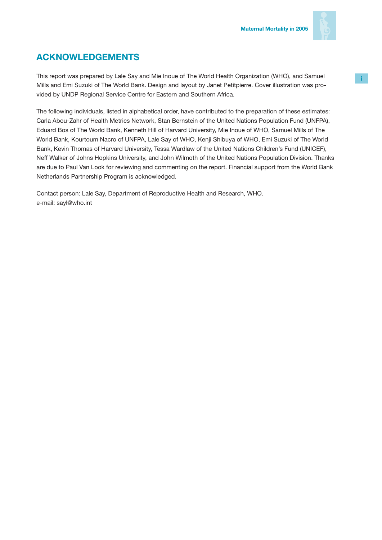

# **ACKNOWLEDGEMENTS**

This report was prepared by Lale Say and Mie Inoue of The World Health Organization (WHO), and Samuel Mills and Emi Suzuki of The World Bank. Design and layout by Janet Petitpierre. Cover illustration was provided by UNDP Regional Service Centre for Eastern and Southern Africa.

The following individuals, listed in alphabetical order, have contributed to the preparation of these estimates: Carla Abou-Zahr of Health Metrics Network, Stan Bernstein of the United Nations Population Fund (UNFPA), Eduard Bos of The World Bank, Kenneth Hill of Harvard University, Mie Inoue of WHO, Samuel Mills of The World Bank, Kourtoum Nacro of UNFPA, Lale Say of WHO, Kenji Shibuya of WHO, Emi Suzuki of The World Bank, Kevin Thomas of Harvard University, Tessa Wardlaw of the United Nations Children's Fund (UNICEF), Neff Walker of Johns Hopkins University, and John Wilmoth of the United Nations Population Division. Thanks are due to Paul Van Look for reviewing and commenting on the report. Financial support from the World Bank Netherlands Partnership Program is acknowledged.

Contact person: Lale Say, Department of Reproductive Health and Research, WHO. e-mail: sayl@who.int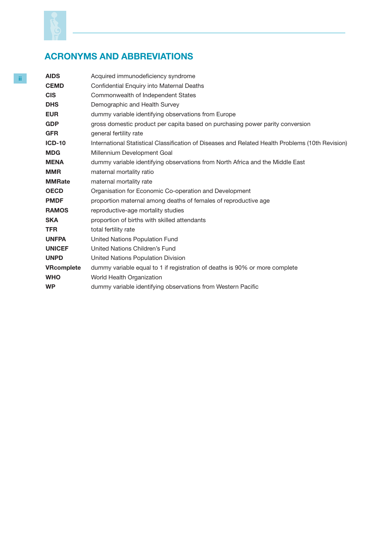

# **ACRONYMS AND ABBREVIATIONS**

| <b>AIDS</b>       | Acquired immunodeficiency syndrome                                                               |
|-------------------|--------------------------------------------------------------------------------------------------|
| <b>CEMD</b>       | Confidential Enquiry into Maternal Deaths                                                        |
| <b>CIS</b>        | Commonwealth of Independent States                                                               |
| <b>DHS</b>        | Demographic and Health Survey                                                                    |
| <b>EUR</b>        | dummy variable identifying observations from Europe                                              |
| <b>GDP</b>        | gross domestic product per capita based on purchasing power parity conversion                    |
| <b>GFR</b>        | general fertility rate                                                                           |
| <b>ICD-10</b>     | International Statistical Classification of Diseases and Related Health Problems (10th Revision) |
| <b>MDG</b>        | Millennium Development Goal                                                                      |
| <b>MENA</b>       | dummy variable identifying observations from North Africa and the Middle East                    |
| <b>MMR</b>        | maternal mortality ratio                                                                         |
| <b>MMRate</b>     | maternal mortality rate                                                                          |
| <b>OECD</b>       | Organisation for Economic Co-operation and Development                                           |
| <b>PMDF</b>       | proportion maternal among deaths of females of reproductive age                                  |
| <b>RAMOS</b>      | reproductive-age mortality studies                                                               |
| SKA               | proportion of births with skilled attendants                                                     |
| TFR               | total fertility rate                                                                             |
| <b>UNFPA</b>      | United Nations Population Fund                                                                   |
| <b>UNICEF</b>     | United Nations Children's Fund                                                                   |
| <b>UNPD</b>       | United Nations Population Division                                                               |
| <b>VRcomplete</b> | dummy variable equal to 1 if registration of deaths is 90% or more complete                      |
| <b>WHO</b>        | World Health Organization                                                                        |
| WP                | dummy variable identifying observations from Western Pacific                                     |
|                   |                                                                                                  |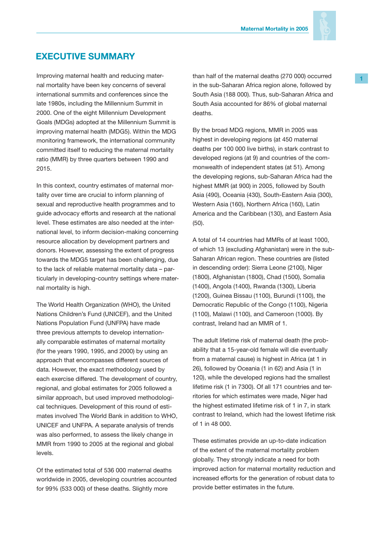

# **EXECUTIVE SUMMARY**

Improving maternal health and reducing maternal mortality have been key concerns of several international summits and conferences since the late 1980s, including the Millennium Summit in 2000. One of the eight Millennium Development Goals (MDGs) adopted at the Millennium Summit is improving maternal health (MDG5). Within the MDG monitoring framework, the international community committed itself to reducing the maternal mortality ratio (MMR) by three quarters between 1990 and 2015.

In this context, country estimates of maternal mortality over time are crucial to inform planning of sexual and reproductive health programmes and to guide advocacy efforts and research at the national level. These estimates are also needed at the international level, to inform decision-making concerning resource allocation by development partners and donors. However, assessing the extent of progress towards the MDG5 target has been challenging, due to the lack of reliable maternal mortality data – particularly in developing-country settings where maternal mortality is high.

The World Health Organization (WHO), the United Nations Children's Fund (UNICEF), and the United Nations Population Fund (UNFPA) have made three previous attempts to develop internationally comparable estimates of maternal mortality (for the years 1990, 1995, and 2000) by using an approach that encompasses different sources of data. However, the exact methodology used by each exercise differed. The development of country, regional, and global estimates for 2005 followed a similar approach, but used improved methodological techniques. Development of this round of estimates involved The World Bank in addition to WHO, UNICEF and UNFPA. A separate analysis of trends was also performed, to assess the likely change in MMR from 1990 to 2005 at the regional and global levels.

Of the estimated total of 536 000 maternal deaths worldwide in 2005, developing countries accounted for 99% (533 000) of these deaths. Slightly more

than half of the maternal deaths (270 000) occurred in the sub-Saharan Africa region alone, followed by South Asia (188 000). Thus, sub-Saharan Africa and South Asia accounted for 86% of global maternal deaths.

By the broad MDG regions, MMR in 2005 was highest in developing regions (at 450 maternal deaths per 100 000 live births), in stark contrast to developed regions (at 9) and countries of the commonwealth of independent states (at 51). Among the developing regions, sub-Saharan Africa had the highest MMR (at 900) in 2005, followed by South Asia (490), Oceania (430), South-Eastern Asia (300), Western Asia (160), Northern Africa (160), Latin America and the Caribbean (130), and Eastern Asia (50).

A total of 14 countries had MMRs of at least 1000, of which 13 (excluding Afghanistan) were in the sub-Saharan African region. These countries are (listed in descending order): Sierra Leone (2100), Niger (1800), Afghanistan (1800), Chad (1500), Somalia (1400), Angola (1400), Rwanda (1300), Liberia (1200), Guinea Bissau (1100), Burundi (1100), the Democratic Republic of the Congo (1100), Nigeria (1100), Malawi (1100), and Cameroon (1000). By contrast, Ireland had an MMR of 1.

The adult lifetime risk of maternal death (the probability that a 15-year-old female will die eventually from a maternal cause) is highest in Africa (at 1 in 26), followed by Oceania (1 in 62) and Asia (1 in 120), while the developed regions had the smallest lifetime risk (1 in 7300). Of all 171 countries and territories for which estimates were made, Niger had the highest estimated lifetime risk of 1 in 7, in stark contrast to Ireland, which had the lowest lifetime risk of 1 in 48 000.

These estimates provide an up-to-date indication of the extent of the maternal mortality problem globally. They strongly indicate a need for both improved action for maternal mortality reduction and increased efforts for the generation of robust data to provide better estimates in the future.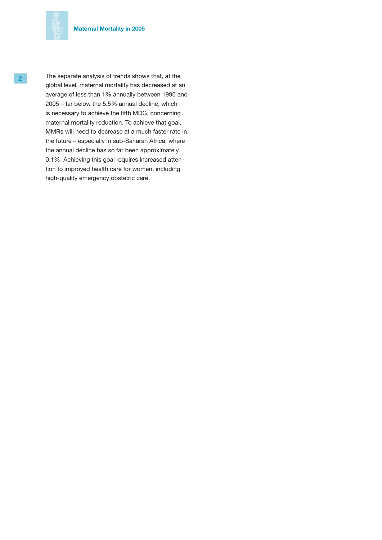

**2** The separate analysis of trends shows that, at the global level, maternal mortality has decreased at an average of less than 1% annually between 1990 and 2005 – far below the 5.5% annual decline, which is necessary to achieve the fifth MDG, concerning maternal mortality reduction. To achieve that goal, MMRs will need to decrease at a much faster rate in the future – especially in sub-Saharan Africa, where the annual decline has so far been approximately 0.1%. Achieving this goal requires increased attention to improved health care for women, including high-quality emergency obstetric care.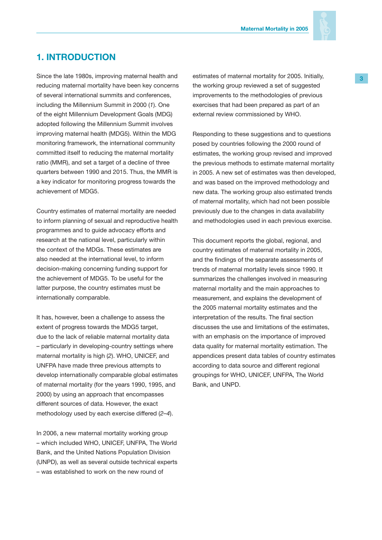

# **1. INTRODUCTION**

Since the late 1980s, improving maternal health and reducing maternal mortality have been key concerns of several international summits and conferences, including the Millennium Summit in 2000 (*1*). One of the eight Millennium Development Goals (MDG) adopted following the Millennium Summit involves improving maternal health (MDG5). Within the MDG monitoring framework, the international community committed itself to reducing the maternal mortality ratio (MMR), and set a target of a decline of three quarters between 1990 and 2015. Thus, the MMR is a key indicator for monitoring progress towards the achievement of MDG5.

Country estimates of maternal mortality are needed to inform planning of sexual and reproductive health programmes and to guide advocacy efforts and research at the national level, particularly within the context of the MDGs. These estimates are also needed at the international level, to inform decision-making concerning funding support for the achievement of MDG5. To be useful for the latter purpose, the country estimates must be internationally comparable.

It has, however, been a challenge to assess the extent of progress towards the MDG5 target, due to the lack of reliable maternal mortality data – particularly in developing-country settings where maternal mortality is high (*2*). WHO, UNICEF, and UNFPA have made three previous attempts to develop internationally comparable global estimates of maternal mortality (for the years 1990, 1995, and 2000) by using an approach that encompasses different sources of data. However, the exact methodology used by each exercise differed (*2–4*).

In 2006, a new maternal mortality working group – which included WHO, UNICEF, UNFPA, The World Bank, and the United Nations Population Division (UNPD), as well as several outside technical experts – was established to work on the new round of

estimates of maternal mortality for 2005. Initially, the working group reviewed a set of suggested improvements to the methodologies of previous exercises that had been prepared as part of an external review commissioned by WHO.

Responding to these suggestions and to questions posed by countries following the 2000 round of estimates, the working group revised and improved the previous methods to estimate maternal mortality in 2005. A new set of estimates was then developed, and was based on the improved methodology and new data. The working group also estimated trends of maternal mortality, which had not been possible previously due to the changes in data availability and methodologies used in each previous exercise.

This document reports the global, regional, and country estimates of maternal mortality in 2005, and the findings of the separate assessments of trends of maternal mortality levels since 1990. It summarizes the challenges involved in measuring maternal mortality and the main approaches to measurement, and explains the development of the 2005 maternal mortality estimates and the interpretation of the results. The final section discusses the use and limitations of the estimates, with an emphasis on the importance of improved data quality for maternal mortality estimation. The appendices present data tables of country estimates according to data source and different regional groupings for WHO, UNICEF, UNFPA, The World Bank, and UNPD.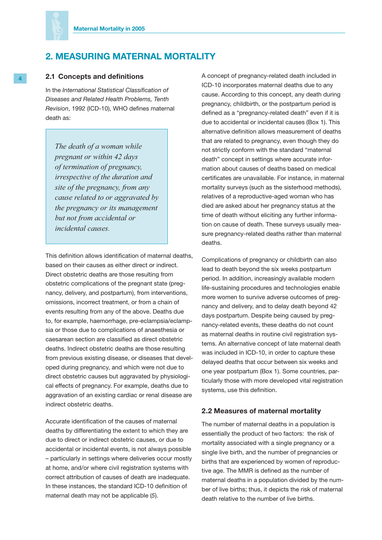

# **2. MEASURING MATERNAL MORTALITY**

### **4 2.1 Concepts and definitions**

In the *International Statistical Classification of Diseases and Related Health Problems, Tenth Revision*, 1992 (ICD-10), WHO defines maternal death as:

*The death of a woman while pregnant or within 42 days of termination of pregnancy, irrespective of the duration and site of the pregnancy, from any cause related to or aggravated by the pregnancy or its management but not from accidental or incidental causes.*

This definition allows identification of maternal deaths, based on their causes as either direct or indirect. Direct obstetric deaths are those resulting from obstetric complications of the pregnant state (pregnancy, delivery, and postpartum), from interventions, omissions, incorrect treatment, or from a chain of events resulting from any of the above. Deaths due to, for example, haemorrhage, pre-eclampsia/eclampsia or those due to complications of anaesthesia or caesarean section are classified as direct obstetric deaths. Indirect obstetric deaths are those resulting from previous existing disease, or diseases that developed during pregnancy, and which were not due to direct obstetric causes but aggravated by physiological effects of pregnancy. For example, deaths due to aggravation of an existing cardiac or renal disease are indirect obstetric deaths.

Accurate identification of the causes of maternal deaths by differentiating the extent to which they are due to direct or indirect obstetric causes, or due to accidental or incidental events, is not always possible – particularly in settings where deliveries occur mostly at home, and/or where civil registration systems with correct attribution of causes of death are inadequate. In these instances, the standard ICD-10 definition of maternal death may not be applicable (*5*).

A concept of pregnancy-related death included in ICD-10 incorporates maternal deaths due to any cause. According to this concept, any death during pregnancy, childbirth, or the postpartum period is defined as a "pregnancy-related death" even if it is due to accidental or incidental causes (Box 1). This alternative definition allows measurement of deaths that are related to pregnancy, even though they do not strictly conform with the standard "maternal death" concept in settings where accurate information about causes of deaths based on medical certificates are unavailable. For instance, in maternal mortality surveys (such as the sisterhood methods), relatives of a reproductive-aged woman who has died are asked about her pregnancy status at the time of death without eliciting any further information on cause of death. These surveys usually measure pregnancy-related deaths rather than maternal deaths.

Complications of pregnancy or childbirth can also lead to death beyond the six weeks postpartum period. In addition, increasingly available modern life-sustaining procedures and technologies enable more women to survive adverse outcomes of pregnancy and delivery, and to delay death beyond 42 days postpartum. Despite being caused by pregnancy-related events, these deaths do not count as maternal deaths in routine civil registration systems. An alternative concept of late maternal death was included in ICD-10, in order to capture these delayed deaths that occur between six weeks and one year postpartum (Box 1). Some countries, particularly those with more developed vital registration systems, use this definition.

### **2.2 Measures of maternal mortality**

The number of maternal deaths in a population is essentially the product of two factors: the risk of mortality associated with a single pregnancy or a single live birth, and the number of pregnancies or births that are experienced by women of reproductive age. The MMR is defined as the number of maternal deaths in a population divided by the number of live births; thus, it depicts the risk of maternal death relative to the number of live births.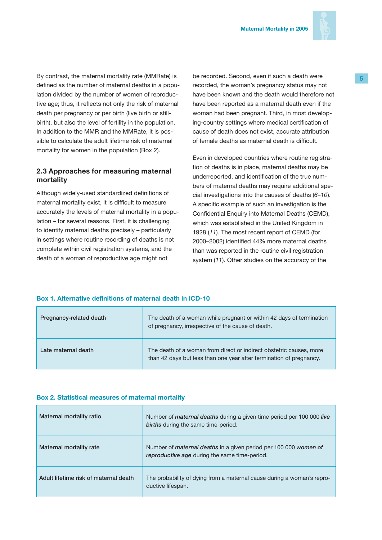

By contrast, the maternal mortality rate (MMRate) is defined as the number of maternal deaths in a population divided by the number of women of reproductive age; thus, it reflects not only the risk of maternal death per pregnancy or per birth (live birth or stillbirth), but also the level of fertility in the population. In addition to the MMR and the MMRate, it is possible to calculate the adult lifetime risk of maternal mortality for women in the population (Box 2).

### **2.3 Approaches for measuring maternal mortality**

Although widely-used standardized definitions of maternal mortality exist, it is difficult to measure accurately the levels of maternal mortality in a population – for several reasons. First, it is challenging to identify maternal deaths precisely – particularly in settings where routine recording of deaths is not complete within civil registration systems, and the death of a woman of reproductive age might not

be recorded. Second, even if such a death were recorded, the woman's pregnancy status may not have been known and the death would therefore not have been reported as a maternal death even if the woman had been pregnant. Third, in most developing-country settings where medical certification of cause of death does not exist, accurate attribution of female deaths as maternal death is difficult.

Even in developed countries where routine registration of deaths is in place, maternal deaths may be underreported, and identification of the true numbers of maternal deaths may require additional special investigations into the causes of deaths (*6–10*). A specific example of such an investigation is the Confidential Enquiry into Maternal Deaths (CEMD), which was established in the United Kingdom in 1928 (*11*). The most recent report of CEMD (for 2000–2002) identified 44% more maternal deaths than was reported in the routine civil registration system (*11*). Other studies on the accuracy of the

### **Box 1. Alternative definitions of maternal death in ICD-10**

| Pregnancy-related death | The death of a woman while pregnant or within 42 days of termination<br>of pregnancy, irrespective of the cause of death.                  |
|-------------------------|--------------------------------------------------------------------------------------------------------------------------------------------|
| Late maternal death     | The death of a woman from direct or indirect obstetric causes, more<br>than 42 days but less than one year after termination of pregnancy. |

### **Box 2. Statistical measures of maternal mortality**

| Maternal mortality ratio              | Number of <i>maternal deaths</i> during a given time period per 100 000 live<br>births during the same time-period.      |
|---------------------------------------|--------------------------------------------------------------------------------------------------------------------------|
| Maternal mortality rate               | Number of <i>maternal deaths</i> in a given period per 100 000 women of<br>reproductive age during the same time-period. |
| Adult lifetime risk of maternal death | The probability of dying from a maternal cause during a woman's repro-<br>ductive lifespan.                              |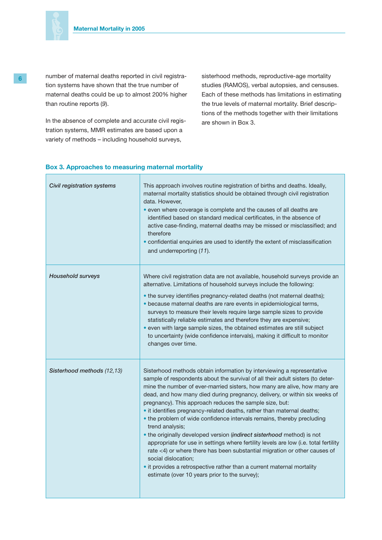

 $\Box$ 

**6** number of maternal deaths reported in civil registration systems have shown that the true number of maternal deaths could be up to almost 200% higher than routine reports (*9*).

> In the absence of complete and accurate civil registration systems, MMR estimates are based upon a variety of methods – including household surveys,

sisterhood methods, reproductive-age mortality studies (RAMOS), verbal autopsies, and censuses. Each of these methods has limitations in estimating the true levels of maternal mortality. Brief descriptions of the methods together with their limitations are shown in Box 3.

| Civil registration systems | This approach involves routine registration of births and deaths. Ideally,<br>maternal mortality statistics should be obtained through civil registration<br>data. However,<br>• even where coverage is complete and the causes of all deaths are<br>identified based on standard medical certificates, in the absence of<br>active case-finding, maternal deaths may be missed or misclassified; and<br>therefore<br>• confidential enquiries are used to identify the extent of misclassification<br>and underreporting (11).                                                                                                                                                                                                                                                                                                                                                                                                                        |
|----------------------------|--------------------------------------------------------------------------------------------------------------------------------------------------------------------------------------------------------------------------------------------------------------------------------------------------------------------------------------------------------------------------------------------------------------------------------------------------------------------------------------------------------------------------------------------------------------------------------------------------------------------------------------------------------------------------------------------------------------------------------------------------------------------------------------------------------------------------------------------------------------------------------------------------------------------------------------------------------|
| <b>Household surveys</b>   | Where civil registration data are not available, household surveys provide an<br>alternative. Limitations of household surveys include the following:<br>• the survey identifies pregnancy-related deaths (not maternal deaths);<br>· because maternal deaths are rare events in epidemiological terms,<br>surveys to measure their levels require large sample sizes to provide<br>statistically reliable estimates and therefore they are expensive;<br>• even with large sample sizes, the obtained estimates are still subject<br>to uncertainty (wide confidence intervals), making it difficult to monitor<br>changes over time.                                                                                                                                                                                                                                                                                                                 |
| Sisterhood methods (12,13) | Sisterhood methods obtain information by interviewing a representative<br>sample of respondents about the survival of all their adult sisters (to deter-<br>mine the number of ever-married sisters, how many are alive, how many are<br>dead, and how many died during pregnancy, delivery, or within six weeks of<br>pregnancy). This approach reduces the sample size, but:<br>• it identifies pregnancy-related deaths, rather than maternal deaths;<br>• the problem of wide confidence intervals remains, thereby precluding<br>trend analysis;<br>. the originally developed version (indirect sisterhood method) is not<br>appropriate for use in settings where fertility levels are low (i.e. total fertility<br>rate <4) or where there has been substantial migration or other causes of<br>social dislocation;<br>• it provides a retrospective rather than a current maternal mortality<br>estimate (over 10 years prior to the survey); |

### **Box 3. Approaches to measuring maternal mortality**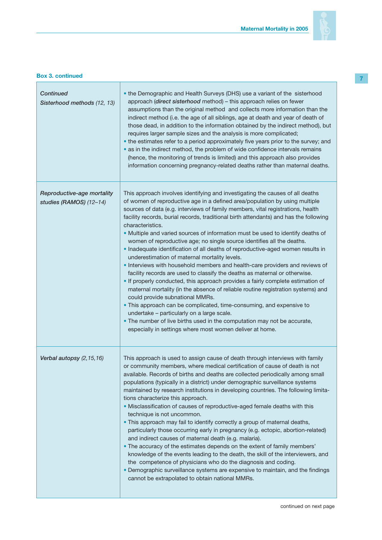

### **Box 3. continued**

-F

| <b>Continued</b><br>Sisterhood methods (12, 13)       | • the Demographic and Health Surveys (DHS) use a variant of the sisterhood<br>approach (direct sisterhood method) - this approach relies on fewer<br>assumptions than the original method and collects more information than the<br>indirect method (i.e. the age of all siblings, age at death and year of death of<br>those dead, in addition to the information obtained by the indirect method), but<br>requires larger sample sizes and the analysis is more complicated;<br>• the estimates refer to a period approximately five years prior to the survey; and<br>• as in the indirect method, the problem of wide confidence intervals remains<br>(hence, the monitoring of trends is limited) and this approach also provides<br>information concerning pregnancy-related deaths rather than maternal deaths.                                                                                                                                                                                                                                                                                                                                                                                                                                                                              |
|-------------------------------------------------------|-----------------------------------------------------------------------------------------------------------------------------------------------------------------------------------------------------------------------------------------------------------------------------------------------------------------------------------------------------------------------------------------------------------------------------------------------------------------------------------------------------------------------------------------------------------------------------------------------------------------------------------------------------------------------------------------------------------------------------------------------------------------------------------------------------------------------------------------------------------------------------------------------------------------------------------------------------------------------------------------------------------------------------------------------------------------------------------------------------------------------------------------------------------------------------------------------------------------------------------------------------------------------------------------------------|
| Reproductive-age mortality<br>studies (RAMOS) (12-14) | This approach involves identifying and investigating the causes of all deaths<br>of women of reproductive age in a defined area/population by using multiple<br>sources of data (e.g. interviews of family members, vital registrations, health<br>facility records, burial records, traditional birth attendants) and has the following<br>characteristics.<br>. Multiple and varied sources of information must be used to identify deaths of<br>women of reproductive age; no single source identifies all the deaths.<br>. Inadequate identification of all deaths of reproductive-aged women results in<br>underestimation of maternal mortality levels.<br>. Interviews with household members and health-care providers and reviews of<br>facility records are used to classify the deaths as maternal or otherwise.<br>. If properly conducted, this approach provides a fairly complete estimation of<br>maternal mortality (in the absence of reliable routine registration systems) and<br>could provide subnational MMRs.<br>• This approach can be complicated, time-consuming, and expensive to<br>undertake - particularly on a large scale.<br>. The number of live births used in the computation may not be accurate,<br>especially in settings where most women deliver at home. |
| Verbal autopsy (2,15,16)                              | This approach is used to assign cause of death through interviews with family<br>or community members, where medical certification of cause of death is not<br>available. Records of births and deaths are collected periodically among small<br>populations (typically in a district) under demographic surveillance systems<br>maintained by research institutions in developing countries. The following limita-<br>tions characterize this approach.<br>. Misclassification of causes of reproductive-aged female deaths with this<br>technique is not uncommon.<br>. This approach may fail to identify correctly a group of maternal deaths,<br>particularly those occurring early in pregnancy (e.g. ectopic, abortion-related)<br>and indirect causes of maternal death (e.g. malaria).<br>• The accuracy of the estimates depends on the extent of family members'<br>knowledge of the events leading to the death, the skill of the interviewers, and<br>the competence of physicians who do the diagnosis and coding.<br>• Demographic surveillance systems are expensive to maintain, and the findings<br>cannot be extrapolated to obtain national MMRs.                                                                                                                               |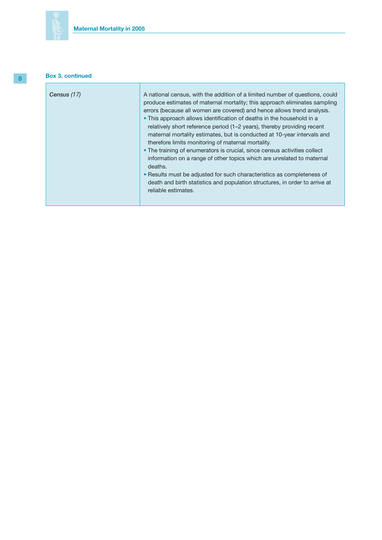# **Box 3. continued**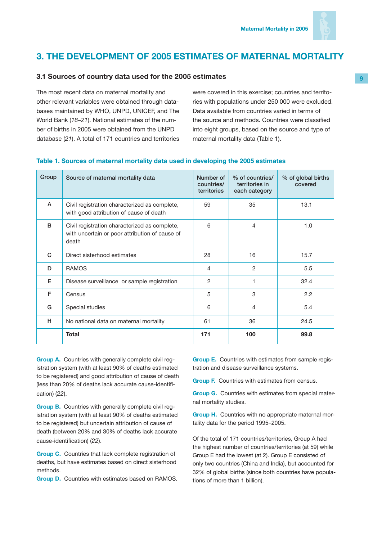

# **3. THE DEVELOPMENT OF 2005 ESTIMATES OF MATERNAL MORTALITY**

### **3.1 Sources of country data used for the 2005 estimates**

The most recent data on maternal mortality and other relevant variables were obtained through databases maintained by WHO, UNPD, UNICEF, and The World Bank (*18–21*). National estimates of the number of births in 2005 were obtained from the UNPD database (*21*). A total of 171 countries and territories were covered in this exercise; countries and territories with populations under 250 000 were excluded. Data available from countries varied in terms of the source and methods. Countries were classified into eight groups, based on the source and type of maternal mortality data (Table 1).

| Group | Source of maternal mortality data                                                                        | Number of<br>countries/<br>territories | % of countries/<br>territories in<br>each category | % of global births<br>covered |
|-------|----------------------------------------------------------------------------------------------------------|----------------------------------------|----------------------------------------------------|-------------------------------|
| A     | Civil registration characterized as complete,<br>with good attribution of cause of death                 | 59                                     | 35                                                 | 13.1                          |
| B     | Civil registration characterized as complete,<br>with uncertain or poor attribution of cause of<br>death | 6                                      | $\overline{4}$                                     | 1.0                           |
| C     | Direct sisterhood estimates                                                                              | 28                                     | 16                                                 | 15.7                          |
| D     | <b>RAMOS</b>                                                                                             | 4                                      | $\overline{2}$                                     | 5.5                           |
| Е     | Disease surveillance or sample registration                                                              | 2                                      | 1                                                  | 32.4                          |
| F     | Census                                                                                                   | 5                                      | 3                                                  | 2.2                           |
| G     | Special studies                                                                                          | 6                                      | $\overline{4}$                                     | 5.4                           |
| н     | No national data on maternal mortality                                                                   | 61                                     | 36                                                 | 24.5                          |
|       | <b>Total</b>                                                                                             | 171                                    | 100                                                | 99.8                          |

### **Table 1. Sources of maternal mortality data used in developing the 2005 estimates**

**Group A.** Countries with generally complete civil registration system (with at least 90% of deaths estimated to be registered) and good attribution of cause of death (less than 20% of deaths lack accurate cause-identification) (*22*).

**Group B.** Countries with generally complete civil registration system (with at least 90% of deaths estimated to be registered) but uncertain attribution of cause of death (between 20% and 30% of deaths lack accurate cause-identification) (*22*).

**Group C.** Countries that lack complete registration of deaths, but have estimates based on direct sisterhood methods.

**Group D.** Countries with estimates based on RAMOS.

**Group E.** Countries with estimates from sample registration and disease surveillance systems.

**Group F.** Countries with estimates from census.

**Group G.** Countries with estimates from special maternal mortality studies.

**Group H.** Countries with no appropriate maternal mortality data for the period 1995–2005.

Of the total of 171 countries/territories, Group A had the highest number of countries/territories (at 59) while Group E had the lowest (at 2). Group E consisted of only two countries (China and India), but accounted for 32% of global births (since both countries have populations of more than 1 billion).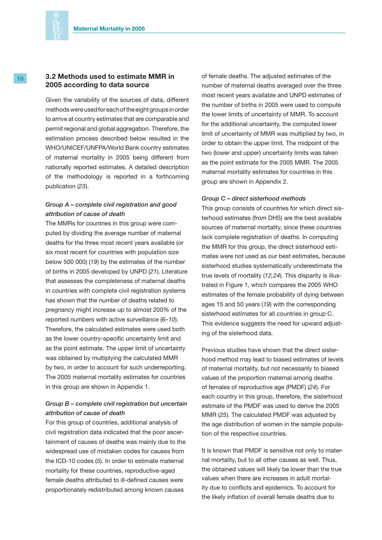### **10 3.2 Methods used to estimate MMR in 2005 according to data source**

Given the variability of the sources of data, different methods were used for each of the eight groups in order to arrive at country estimates that are comparable and permit regional and global aggregation. Therefore, the estimation process described below resulted in the WHO/UNICEF/UNFPA/World Bank country estimates of maternal mortality in 2005 being different from nationally reported estimates. A detailed description of the methodology is reported in a forthcoming publication (*23*).

### *Group A – complete civil registration and good attribution of cause of death*

The MMRs for countries in this group were computed by dividing the average number of maternal deaths for the three most recent years available (or six most recent for countries with population size below 500 000) (*19*) by the estimates of the number of births in 2005 developed by UNPD (*21*). Literature that assesses the completeness of maternal deaths in countries with complete civil registration systems has shown that the number of deaths related to pregnancy might increase up to almost 200% of the reported numbers with active surveillance (*6–10*). Therefore, the calculated estimates were used both as the lower country-specific uncertainty limit and as the point estimate. The upper limit of uncertainty was obtained by multiplying the calculated MMR by two, in order to account for such underreporting. The 2005 maternal mortality estimates for countries in this group are shown in Appendix 1.

### *Group B – complete civil registration but uncertain attribution of cause of death*

For this group of countries, additional analysis of civil registration data indicated that the poor ascertainment of causes of deaths was mainly due to the widespread use of mistaken codes for causes from the ICD-10 codes (*5*). In order to estimate maternal mortality for these countries, reproductive-aged female deaths attributed to ill-defined causes were proportionately redistributed among known causes

of female deaths. The adjusted estimates of the number of maternal deaths averaged over the three most recent years available and UNPD estimates of the number of births in 2005 were used to compute the lower limits of uncertainty of MMR. To account for the additional uncertainty, the computed lower limit of uncertainty of MMR was multiplied by two, in order to obtain the upper limit. The midpoint of the two (lower and upper) uncertainty limits was taken as the point estimate for the 2005 MMR. The 2005 maternal mortality estimates for countries in this group are shown in Appendix 2.

#### *Group C – direct sisterhood methods*

This group consists of countries for which direct sisterhood estimates (from DHS) are the best available sources of maternal mortality, since these countries lack complete registration of deaths. In computing the MMR for this group, the direct sisterhood estimates were not used as our best estimates, because sisterhood studies systematically underestimate the true levels of mortality (*12,24*). This disparity is illustrated in Figure 1, which compares the 2005 WHO estimates of the female probability of dying between ages 15 and 50 years (*19*) with the corresponding sisterhood estimates for all countries in group C. This evidence suggests the need for upward adjusting of the sisterhood data.

Previous studies have shown that the direct sisterhood method may lead to biased estimates of levels of maternal mortality, but not necessarily to biased values of the proportion maternal among deaths of females of reproductive age (PMDF) (*24*). For each country in this group, therefore, the sisterhood estimate of the PMDF was used to derive the 2005 MMR (*25*). The calculated PMDF was adjusted by the age distribution of women in the sample population of the respective countries.

It is known that PMDF is sensitive not only to maternal mortality, but to all other causes as well. Thus, the obtained values will likely be lower than the true values when there are increases in adult mortality due to conflicts and epidemics. To account for the likely inflation of overall female deaths due to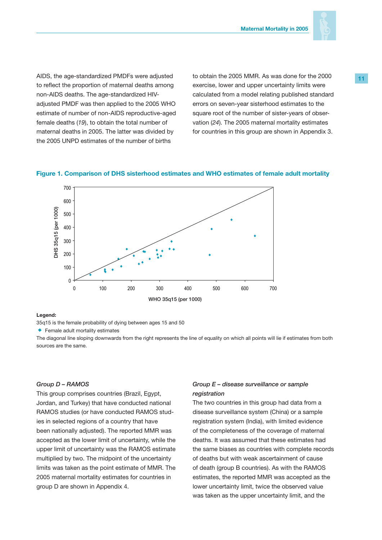

AIDS, the age-standardized PMDFs were adjusted to reflect the proportion of maternal deaths among non-AIDS deaths. The age-standardized HIVadjusted PMDF was then applied to the 2005 WHO estimate of number of non-AIDS reproductive-aged female deaths (*19*), to obtain the total number of maternal deaths in 2005. The latter was divided by the 2005 UNPD estimates of the number of births

to obtain the 2005 MMR. As was done for the 2000 exercise, lower and upper uncertainty limits were calculated from a model relating published standard errors on seven-year sisterhood estimates to the square root of the number of sister-years of observation (*24*). The 2005 maternal mortality estimates for countries in this group are shown in Appendix 3.

### **Figure 1. Comparison of DHS sisterhood estimates and WHO estimates of female adult mortality**



#### **Legend:**

35q15 is the female probability of dying between ages 15 and 50

Female adult mortality estimates

The diagonal line sloping downwards from the right represents the line of equality on which all points will lie if estimates from both

#### *Group D – RAMOS*

This group comprises countries (Brazil, Egypt, Jordan, and Turkey) that have conducted national RAMOS studies (or have conducted RAMOS studies in selected regions of a country that have been nationally adjusted). The reported MMR was accepted as the lower limit of uncertainty, while the upper limit of uncertainty was the RAMOS estimate multiplied by two. The midpoint of the uncertainty limits was taken as the point estimate of MMR. The 2005 maternal mortality estimates for countries in group D are shown in Appendix 4.

### *Group E – disease surveillance or sample registration*

The two countries in this group had data from a disease surveillance system (China) or a sample registration system (India), with limited evidence of the completeness of the coverage of maternal deaths. It was assumed that these estimates had the same biases as countries with complete records of deaths but with weak ascertainment of cause of death (group B countries). As with the RAMOS estimates, the reported MMR was accepted as the lower uncertainty limit, twice the observed value was taken as the upper uncertainty limit, and the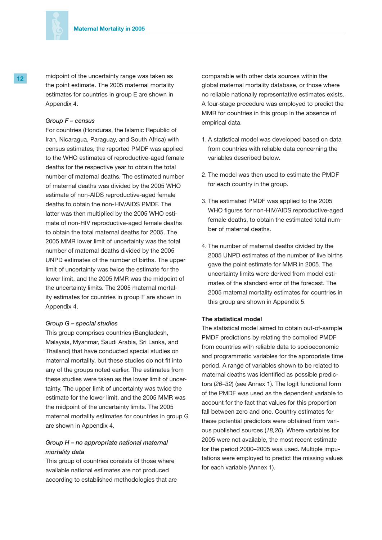

12 **homologish** midpoint of the uncertainty range was taken as the point estimate. The 2005 maternal mortality estimates for countries in group E are shown in Appendix 4.

#### *Group F – census*

For countries (Honduras, the Islamic Republic of Iran, Nicaragua, Paraguay, and South Africa) with census estimates, the reported PMDF was applied to the WHO estimates of reproductive-aged female deaths for the respective year to obtain the total number of maternal deaths. The estimated number of maternal deaths was divided by the 2005 WHO estimate of non-AIDS reproductive-aged female deaths to obtain the non-HIV/AIDS PMDF. The latter was then multiplied by the 2005 WHO estimate of non-HIV reproductive-aged female deaths to obtain the total maternal deaths for 2005. The 2005 MMR lower limit of uncertainty was the total number of maternal deaths divided by the 2005 UNPD estimates of the number of births. The upper limit of uncertainty was twice the estimate for the lower limit, and the 2005 MMR was the midpoint of the uncertainty limits. The 2005 maternal mortality estimates for countries in group F are shown in Appendix 4.

#### *Group G – special studies*

This group comprises countries (Bangladesh, Malaysia, Myanmar, Saudi Arabia, Sri Lanka, and Thailand) that have conducted special studies on maternal mortality, but these studies do not fit into any of the groups noted earlier. The estimates from these studies were taken as the lower limit of uncertainty. The upper limit of uncertainty was twice the estimate for the lower limit, and the 2005 MMR was the midpoint of the uncertainty limits. The 2005 maternal mortality estimates for countries in group G are shown in Appendix 4.

### *Group H – no appropriate national maternal mortality data*

This group of countries consists of those where available national estimates are not produced according to established methodologies that are comparable with other data sources within the global maternal mortality database, or those where no reliable nationally representative estimates exists. A four-stage procedure was employed to predict the MMR for countries in this group in the absence of empirical data.

- 1. A statistical model was developed based on data from countries with reliable data concerning the variables described below.
- 2. The model was then used to estimate the PMDF for each country in the group.
- 3. The estimated PMDF was applied to the 2005 WHO figures for non-HIV/AIDS reproductive-aged female deaths, to obtain the estimated total number of maternal deaths.
- 4. The number of maternal deaths divided by the 2005 UNPD estimates of the number of live births gave the point estimate for MMR in 2005. The uncertainty limits were derived from model estimates of the standard error of the forecast. The 2005 maternal mortality estimates for countries in this group are shown in Appendix 5.

### **The statistical model**

The statistical model aimed to obtain out-of-sample PMDF predictions by relating the compiled PMDF from countries with reliable data to socioeconomic and programmatic variables for the appropriate time period. A range of variables shown to be related to maternal deaths was identified as possible predictors (*26–32*) (see Annex 1). The logit functional form of the PMDF was used as the dependent variable to account for the fact that values for this proportion fall between zero and one. Country estimates for these potential predictors were obtained from various published sources (*18,20*). Where variables for 2005 were not available, the most recent estimate for the period 2000–2005 was used. Multiple imputations were employed to predict the missing values for each variable (Annex 1).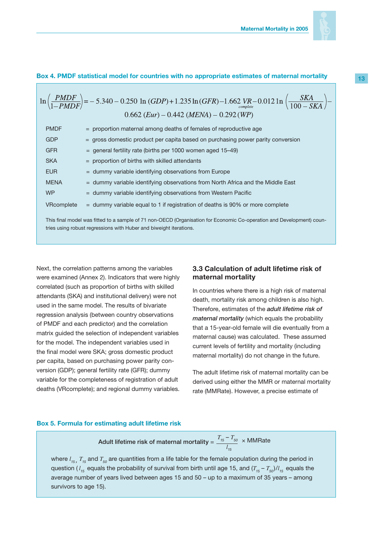

### **Box 4. PMDF statistical model for countries with no appropriate estimates of maternal mortality**

|                                                                                                                                                                                             | $\ln\left(\frac{PMDF}{1-PMDF}\right)$ = -5.340 - 0.250 \left(GDP) + 1.235 \left(GFR) -1.662 VR - 0.012 \left(100 - SKA) - 0.662 (Eur) - 0.442 (MENA) - 0.292 (WP) |  |  |  |  |
|---------------------------------------------------------------------------------------------------------------------------------------------------------------------------------------------|-------------------------------------------------------------------------------------------------------------------------------------------------------------------|--|--|--|--|
| <b>PMDF</b>                                                                                                                                                                                 | $=$ proportion maternal among deaths of females of reproductive age                                                                                               |  |  |  |  |
| <b>GDP</b>                                                                                                                                                                                  | $=$ gross domestic product per capita based on purchasing power parity conversion                                                                                 |  |  |  |  |
| <b>GFR</b>                                                                                                                                                                                  | $=$ general fertility rate (births per 1000 women aged 15–49)                                                                                                     |  |  |  |  |
| <b>SKA</b>                                                                                                                                                                                  | $=$ proportion of births with skilled attendants                                                                                                                  |  |  |  |  |
| <b>EUR</b>                                                                                                                                                                                  | $=$ dummy variable identifying observations from Europe                                                                                                           |  |  |  |  |
| <b>MENA</b>                                                                                                                                                                                 | $=$ dummy variable identifying observations from North Africa and the Middle East                                                                                 |  |  |  |  |
| W <sub>P</sub>                                                                                                                                                                              | $=$ dummy variable identifying observations from Western Pacific                                                                                                  |  |  |  |  |
| VRcomplete                                                                                                                                                                                  | $=$ dummy variable equal to 1 if registration of deaths is 90% or more complete                                                                                   |  |  |  |  |
| This final model was fitted to a sample of 71 non-OECD (Organisation for Economic Co-operation and Development) coun-<br>tries using robust regressions with Huber and biweight iterations. |                                                                                                                                                                   |  |  |  |  |

Next, the correlation patterns among the variables were examined (Annex 2). Indicators that were highly correlated (such as proportion of births with skilled attendants (SKA) and institutional delivery) were not used in the same model. The results of bivariate regression analysis (between country observations of PMDF and each predictor) and the correlation matrix guided the selection of independent variables for the model. The independent variables used in the final model were SKA; gross domestic product per capita, based on purchasing power parity conversion (GDP); general fertility rate (GFR); dummy variable for the completeness of registration of adult deaths (VRcomplete); and regional dummy variables.

### **3.3 Calculation of adult lifetime risk of maternal mortality**

In countries where there is a high risk of maternal death, mortality risk among children is also high. Therefore, estimates of the *adult lifetime risk of maternal mortality* (which equals the probability that a 15-year-old female will die eventually from a maternal cause) was calculated. These assumed current levels of fertility and mortality (including maternal mortality) do not change in the future.

The adult lifetime risk of maternal mortality can be derived using either the MMR or maternal mortality rate (MMRate). However, a precise estimate of

#### **Box 5. Formula for estimating adult lifetime risk**

 **Adult lifetime risk of maternal mortality** =  $\frac{T_{15}-T_{50}}{T_{15}-T_{50}}$ *l*<sub>15</sub> × MMRate

where *l 15 , T15* and *T<sup>50</sup>* are quantities from a life table for the female population during the period in question (  $l_{\rm 15}$  equals the probability of survival from birth until age 15, and ( $T_{\rm 15}$  –  $T_{\rm 50})/l_{\rm 15}$  equals the average number of years lived between ages 15 and 50 – up to a maximum of 35 years – among survivors to age 15).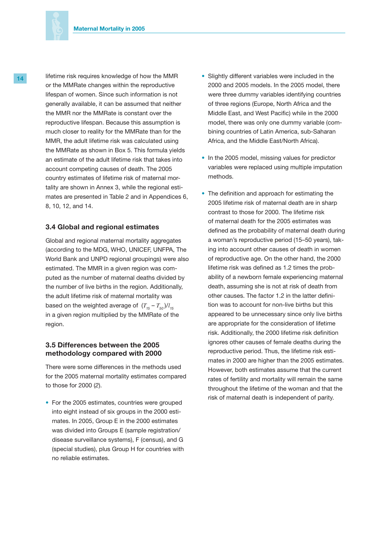

14 lifetime risk requires knowledge of how the MMR or the MMRate changes within the reproductive lifespan of women. Since such information is not generally available, it can be assumed that neither the MMR nor the MMRate is constant over the reproductive lifespan. Because this assumption is much closer to reality for the MMRate than for the MMR, the adult lifetime risk was calculated using the MMRate as shown in Box 5. This formula yields an estimate of the adult lifetime risk that takes into account competing causes of death. The 2005 country estimates of lifetime risk of maternal mortality are shown in Annex 3, while the regional estimates are presented in Table 2 and in Appendices 6, 8, 10, 12, and 14.

### **3.4 Global and regional estimates**

Global and regional maternal mortality aggregates (according to the MDG, WHO, UNICEF, UNFPA, The World Bank and UNPD regional groupings) were also estimated. The MMR in a given region was computed as the number of maternal deaths divided by the number of live births in the region. Additionally, the adult lifetime risk of maternal mortality was based on the weighted average of  $(T_{15} - T_{50})/l_{15}$ in a given region multiplied by the MMRate of the region.

### **3.5 Differences between the 2005 methodology compared with 2000**

There were some differences in the methods used for the 2005 maternal mortality estimates compared to those for 2000 (*2*).

• For the 2005 estimates, countries were grouped into eight instead of six groups in the 2000 estimates. In 2005, Group E in the 2000 estimates was divided into Groups E (sample registration/ disease surveillance systems), F (census), and G (special studies), plus Group H for countries with no reliable estimates.

- Slightly different variables were included in the 2000 and 2005 models. In the 2005 model, there were three dummy variables identifying countries of three regions (Europe, North Africa and the Middle East, and West Pacific) while in the 2000 model, there was only one dummy variable (combining countries of Latin America, sub-Saharan Africa, and the Middle East/North Africa).
- In the 2005 model, missing values for predictor variables were replaced using multiple imputation methods.
- The definition and approach for estimating the 2005 lifetime risk of maternal death are in sharp contrast to those for 2000. The lifetime risk of maternal death for the 2005 estimates was defined as the probability of maternal death during a woman's reproductive period (15–50 years), taking into account other causes of death in women of reproductive age. On the other hand, the 2000 lifetime risk was defined as 1.2 times the probability of a newborn female experiencing maternal death, assuming she is not at risk of death from other causes. The factor 1.2 in the latter definition was to account for non-live births but this appeared to be unnecessary since only live births are appropriate for the consideration of lifetime risk. Additionally, the 2000 lifetime risk definition ignores other causes of female deaths during the reproductive period. Thus, the lifetime risk estimates in 2000 are higher than the 2005 estimates. However, both estimates assume that the current rates of fertility and mortality will remain the same throughout the lifetime of the woman and that the risk of maternal death is independent of parity.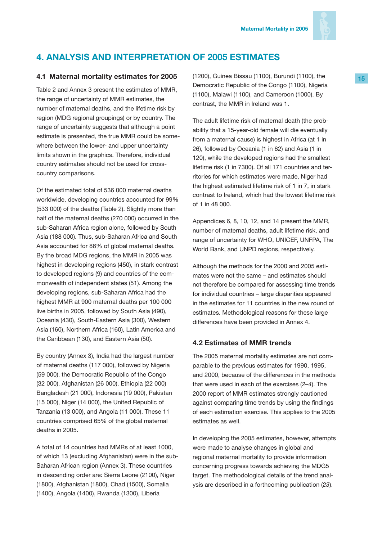

# **4. ANALYSIS AND INTERPRETATION OF 2005 ESTIMATES**

### **4.1 Maternal mortality estimates for 2005**

Table 2 and Annex 3 present the estimates of MMR, the range of uncertainty of MMR estimates, the number of maternal deaths, and the lifetime risk by region (MDG regional groupings) or by country. The range of uncertainty suggests that although a point estimate is presented, the true MMR could be somewhere between the lower- and upper uncertainty limits shown in the graphics. Therefore, individual country estimates should not be used for crosscountry comparisons.

Of the estimated total of 536 000 maternal deaths worldwide, developing countries accounted for 99% (533 000) of the deaths (Table 2). Slightly more than half of the maternal deaths (270 000) occurred in the sub-Saharan Africa region alone, followed by South Asia (188 000). Thus, sub-Saharan Africa and South Asia accounted for 86% of global maternal deaths. By the broad MDG regions, the MMR in 2005 was highest in developing regions (450), in stark contrast to developed regions (9) and countries of the commonwealth of independent states (51). Among the developing regions, sub-Saharan Africa had the highest MMR at 900 maternal deaths per 100 000 live births in 2005, followed by South Asia (490), Oceania (430), South-Eastern Asia (300), Western Asia (160), Northern Africa (160), Latin America and the Caribbean (130), and Eastern Asia (50).

By country (Annex 3), India had the largest number of maternal deaths (117 000), followed by Nigeria (59 000), the Democratic Republic of the Congo (32 000), Afghanistan (26 000), Ethiopia (22 000) Bangladesh (21 000), Indonesia (19 000), Pakistan (15 000), Niger (14 000), the United Republic of Tanzania (13 000), and Angola (11 000). These 11 countries comprised 65% of the global maternal deaths in 2005.

A total of 14 countries had MMRs of at least 1000, of which 13 (excluding Afghanistan) were in the sub-Saharan African region (Annex 3). These countries in descending order are: Sierra Leone (2100), Niger (1800), Afghanistan (1800), Chad (1500), Somalia (1400), Angola (1400), Rwanda (1300), Liberia

(1200), Guinea Bissau (1100), Burundi (1100), the Democratic Republic of the Congo (1100), Nigeria (1100), Malawi (1100), and Cameroon (1000). By contrast, the MMR in Ireland was 1.

The adult lifetime risk of maternal death (the probability that a 15-year-old female will die eventually from a maternal cause) is highest in Africa (at 1 in 26), followed by Oceania (1 in 62) and Asia (1 in 120), while the developed regions had the smallest lifetime risk (1 in 7300). Of all 171 countries and territories for which estimates were made, Niger had the highest estimated lifetime risk of 1 in 7, in stark contrast to Ireland, which had the lowest lifetime risk of 1 in 48 000.

Appendices 6, 8, 10, 12, and 14 present the MMR, number of maternal deaths, adult lifetime risk, and range of uncertainty for WHO, UNICEF, UNFPA, The World Bank, and UNPD regions, respectively.

Although the methods for the 2000 and 2005 estimates were not the same – and estimates should not therefore be compared for assessing time trends for individual countries – large disparities appeared in the estimates for 11 countries in the new round of estimates. Methodological reasons for these large differences have been provided in Annex 4.

### **4.2 Estimates of MMR trends**

The 2005 maternal mortality estimates are not comparable to the previous estimates for 1990, 1995, and 2000, because of the differences in the methods that were used in each of the exercises (*2–4*). The 2000 report of MMR estimates strongly cautioned against comparing time trends by using the findings of each estimation exercise. This applies to the 2005 estimates as well.

In developing the 2005 estimates, however, attempts were made to analyse changes in global and regional maternal mortality to provide information concerning progress towards achieving the MDG5 target. The methodological details of the trend analysis are described in a forthcoming publication (*23*).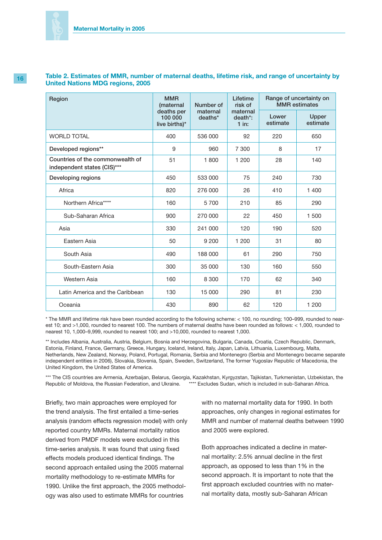### **Table 2. Estimates of MMR, number of maternal deaths, lifetime risk, and range of uncertainty by United Nations MDG regions, 2005**

| Region                                                          | <b>MMR</b><br>(maternal<br>deaths per<br>100 000<br>live births)* | Number of<br>maternal<br>deaths* | Lifetime<br>risk of<br>maternal<br>death*:<br>$1$ in: | Range of uncertainty on<br><b>MMR</b> estimates |                   |
|-----------------------------------------------------------------|-------------------------------------------------------------------|----------------------------------|-------------------------------------------------------|-------------------------------------------------|-------------------|
|                                                                 |                                                                   |                                  |                                                       | Lower<br>estimate                               | Upper<br>estimate |
| <b>WORLD TOTAL</b>                                              | 400                                                               | 536 000                          | 92                                                    | 220                                             | 650               |
| Developed regions**                                             | 9                                                                 | 960                              | 7 300                                                 | 8                                               | 17                |
| Countries of the commonwealth of<br>independent states (CIS)*** | 51                                                                | 1800                             | 1 200                                                 | 28                                              | 140               |
| Developing regions                                              | 450                                                               | 533 000                          | 75                                                    | 240                                             | 730               |
| Africa                                                          | 820                                                               | 276 000                          | 26                                                    | 410                                             | 1 400             |
| Northern Africa****                                             | 160                                                               | 5700                             | 210                                                   | 85                                              | 290               |
| Sub-Saharan Africa                                              | 900                                                               | 270 000                          | 22                                                    | 450                                             | 1 500             |
| Asia                                                            | 330                                                               | 241 000                          | 120                                                   | 190                                             | 520               |
| Eastern Asia                                                    | 50                                                                | 9 200                            | 1 200                                                 | 31                                              | 80                |
| South Asia                                                      | 490                                                               | 188 000                          | 61                                                    | 290                                             | 750               |
| South-Eastern Asia                                              | 300                                                               | 35 000                           | 130                                                   | 160                                             | 550               |
| Western Asia                                                    | 160                                                               | 8 3 0 0                          | 170                                                   | 62                                              | 340               |
| Latin America and the Caribbean                                 | 130                                                               | 15 000                           | 290                                                   | 81                                              | 230               |
| Oceania                                                         | 430                                                               | 890                              | 62                                                    | 120                                             | 1 200             |

\* The MMR and lifetime risk have been rounded according to the following scheme: < 100, no rounding; 100–999, rounded to nearest 10; and >1,000, rounded to nearest 100. The numbers of maternal deaths have been rounded as follows: < 1,000, rounded to nearest 10, 1,000–9,999, rounded to nearest 100; and >10,000, rounded to nearest 1,000.

\*\* Includes Albania, Australia, Austria, Belgium, Bosnia and Herzegovina, Bulgaria, Canada, Croatia, Czech Republic, Denmark, Estonia, Finland, France, Germany, Greece, Hungary, Iceland, Ireland, Italy, Japan, Latvia, Lithuania, Luxembourg, Malta, Netherlands, New Zealand, Norway, Poland, Portugal, Romania, Serbia and Montenegro (Serbia and Montenegro became separate independent entities in 2006), Slovakia, Slovenia, Spain, Sweden, Switzerland, The former Yugoslav Republic of Macedonia, the United Kingdom, the United States of America.

\*\*\* The CIS countries are Armenia, Azerbaijan, Belarus, Georgia, Kazakhstan, Kyrgyzstan, Tajikistan, Turkmenistan, Uzbekistan, the<br>Republic of Moldova, the Russian Federation, and Ukraine. \*\*\*\* Excludes Sudan, which is inc Republic of Moldova, the Russian Federation, and Ukraine.

Briefly, two main approaches were employed for the trend analysis. The first entailed a time-series analysis (random effects regression model) with only reported country MMRs. Maternal mortality ratios derived from PMDF models were excluded in this time-series analysis. It was found that using fixed effects models produced identical findings. The second approach entailed using the 2005 maternal mortality methodology to re-estimate MMRs for 1990. Unlike the first approach, the 2005 methodology was also used to estimate MMRs for countries

with no maternal mortality data for 1990. In both approaches, only changes in regional estimates for MMR and number of maternal deaths between 1990 and 2005 were explored.

Both approaches indicated a decline in maternal mortality: 2.5% annual decline in the first approach, as opposed to less than 1% in the second approach. It is important to note that the first approach excluded countries with no maternal mortality data, mostly sub-Saharan African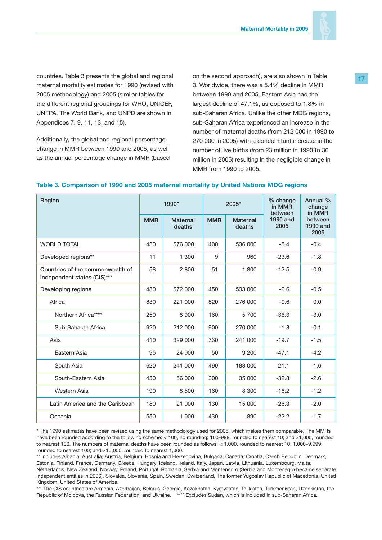

countries. Table 3 presents the global and regional maternal mortality estimates for 1990 (revised with 2005 methodology) and 2005 (similar tables for the different regional groupings for WHO, UNICEF, UNFPA, The World Bank, and UNPD are shown in Appendices 7, 9, 11, 13, and 15).

Additionally, the global and regional percentage change in MMR between 1990 and 2005, as well as the annual percentage change in MMR (based on the second approach), are also shown in Table 3. Worldwide, there was a 5.4% decline in MMR between 1990 and 2005. Eastern Asia had the largest decline of 47.1%, as opposed to 1.8% in sub-Saharan Africa. Unlike the other MDG regions, sub-Saharan Africa experienced an increase in the number of maternal deaths (from 212 000 in 1990 to 270 000 in 2005) with a concomitant increase in the number of live births (from 23 million in 1990 to 30 million in 2005) resulting in the negligible change in MMR from 1990 to 2005.

| Region                                                          |            | 1990*                     |            | 2005*                     | % change<br>in MMR<br>between | Annual %<br>change<br>in MMR       |
|-----------------------------------------------------------------|------------|---------------------------|------------|---------------------------|-------------------------------|------------------------------------|
|                                                                 | <b>MMR</b> | <b>Maternal</b><br>deaths | <b>MMR</b> | <b>Maternal</b><br>deaths | 1990 and<br>2005              | between<br><b>1990 and</b><br>2005 |
| <b>WORLD TOTAL</b>                                              | 430        | 576 000                   | 400        | 536 000                   | $-5.4$                        | $-0.4$                             |
| Developed regions**                                             | 11         | 1 300                     | 9          | 960                       | $-23.6$                       | $-1.8$                             |
| Countries of the commonwealth of<br>independent states (CIS)*** | 58         | 2800                      | 51         | 1800                      | $-12.5$                       | $-0.9$                             |
| Developing regions                                              | 480        | 572 000                   | 450        | 533 000                   | $-6.6$                        | $-0.5$                             |
| Africa                                                          | 830        | 221 000                   | 820        | 276 000                   | $-0.6$                        | 0.0                                |
| Northern Africa****                                             | 250        | 8900                      | 160        | 5700                      | $-36.3$                       | $-3.0$                             |
| Sub-Saharan Africa                                              | 920        | 212 000                   | 900        | 270 000                   | $-1.8$                        | $-0.1$                             |
| Asia                                                            | 410        | 329 000                   | 330        | 241 000                   | $-19.7$                       | $-1.5$                             |
| Eastern Asia                                                    | 95         | 24 000                    | 50         | 9 200                     | $-47.1$                       | $-4.2$                             |
| South Asia                                                      | 620        | 241 000                   | 490        | 188 000                   | $-21.1$                       | $-1.6$                             |
| South-Eastern Asia                                              | 450        | 56 000                    | 300        | 35 000                    | $-32.8$                       | $-2.6$                             |
| Western Asia                                                    | 190        | 8 500                     | 160        | 8 3 0 0                   | $-16.2$                       | $-1.2$                             |
| Latin America and the Caribbean                                 | 180        | 21 000                    | 130        | 15 000                    | $-26.3$                       | $-2.0$                             |
| Oceania                                                         | 550        | 1 000                     | 430        | 890                       | $-22.2$                       | $-1.7$                             |

### **Table 3. Comparison of 1990 and 2005 maternal mortality by United Nations MDG regions**

\* The 1990 estimates have been revised using the same methodology used for 2005, which makes them comparable. The MMRs have been rounded according to the following scheme: < 100, no rounding; 100–999, rounded to nearest 10; and >1,000, rounded to nearest 100. The numbers of maternal deaths have been rounded as follows: < 1,000, rounded to nearest 10, 1,000–9,999, rounded to nearest 100; and >10,000, rounded to nearest 1,000.

\*\* Includes Albania, Australia, Austria, Belgium, Bosnia and Herzegovina, Bulgaria, Canada, Croatia, Czech Republic, Denmark, Estonia, Finland, France, Germany, Greece, Hungary, Iceland, Ireland, Italy, Japan, Latvia, Lithuania, Luxembourg, Malta, Netherlands, New Zealand, Norway, Poland, Portugal, Romania, Serbia and Montenegro (Serbia and Montenegro became separate independent entities in 2006), Slovakia, Slovenia, Spain, Sweden, Switzerland, The former Yugoslav Republic of Macedonia, United Kingdom, United States of America.

\*\*\* The CIS countries are Armenia, Azerbaijan, Belarus, Georgia, Kazakhstan, Kyrgyzstan, Tajikistan, Turkmenistan, Uzbekistan, the Republic of Moldova, the Russian Federation, and Ukraine. \*\*\*\* Excludes Sudan, which is included in sub-Saharan Africa.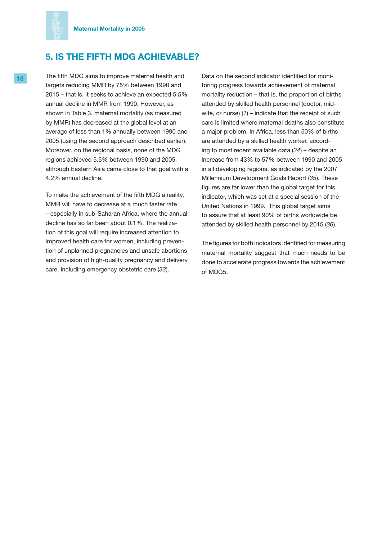

# **5. IS THE FIFTH MDG ACHIEVABLE?**

18 The fifth MDG aims to improve maternal health and targets reducing MMR by 75% between 1990 and 2015 – that is, it seeks to achieve an expected 5.5% annual decline in MMR from 1990. However, as shown in Table 3, maternal mortality (as measured by MMR) has decreased at the global level at an average of less than 1% annually between 1990 and 2005 (using the second approach described earlier). Moreover, on the regional basis, none of the MDG regions achieved 5.5% between 1990 and 2005, although Eastern Asia came close to that goal with a 4.2% annual decline.

> To make the achievement of the fifth MDG a reality, MMR will have to decrease at a much faster rate – especially in sub-Saharan Africa, where the annual decline has so far been about 0.1%. The realization of this goal will require increased attention to improved health care for women, including prevention of unplanned pregnancies and unsafe abortions and provision of high-quality pregnancy and delivery care, including emergency obstetric care (*33*).

Data on the second indicator identified for monitoring progress towards achievement of maternal mortality reduction – that is, the proportion of births attended by skilled health personnel (doctor, midwife, or nurse) (*1*) – indicate that the receipt of such care is limited where maternal deaths also constitute a major problem. In Africa, less than 50% of births are attended by a skilled health worker, according to most recent available data (*34*) – despite an increase from 43% to 57% between 1990 and 2005 in all developing regions, as indicated by the 2007 Millennium Development Goals Report (*35*). These figures are far lower than the global target for this indicator, which was set at a special session of the United Nations in 1999. This global target aims to assure that at least 90% of births worldwide be attended by skilled health personnel by 2015 (*36*).

The figures for both indicators identified for measuring maternal mortality suggest that much needs to be done to accelerate progress towards the achievement of MDG5.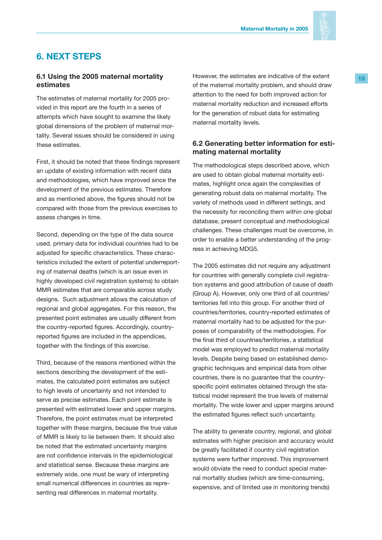

# **6. NEXT STEPS**

### **6.1 Using the 2005 maternal mortality estimates**

The estimates of maternal mortality for 2005 provided in this report are the fourth in a series of attempts which have sought to examine the likely global dimensions of the problem of maternal mortality. Several issues should be considered in using these estimates.

First, it should be noted that these findings represent an update of existing information with recent data and methodologies, which have improved since the development of the previous estimates. Therefore and as mentioned above, the figures should not be compared with those from the previous exercises to assess changes in time.

Second, depending on the type of the data source used, primary data for individual countries had to be adjusted for specific characteristics. These characteristics included the extent of potential underreporting of maternal deaths (which is an issue even in highly developed civil registration systems) to obtain MMR estimates that are comparable across study designs. Such adjustment allows the calculation of regional and global aggregates. For this reason, the presented point estimates are usually different from the country-reported figures. Accordingly, countryreported figures are included in the appendices, together with the findings of this exercise.

Third, because of the reasons mentioned within the sections describing the development of the estimates, the calculated point estimates are subject to high levels of uncertainty and not intended to serve as precise estimates. Each point estimate is presented with estimated lower and upper margins. Therefore, the point estimates must be interpreted together with these margins, because the true value of MMR is likely to lie between them. It should also be noted that the estimated uncertainty margins are not confidence intervals in the epidemiological and statistical sense. Because these margins are extremely wide, one must be wary of interpreting small numerical differences in countries as representing real differences in maternal mortality.

However, the estimates are indicative of the extent of the maternal mortality problem, and should draw attention to the need for both improved action for maternal mortality reduction and increased efforts for the generation of robust data for estimating maternal mortality levels.

### **6.2 Generating better information for estimating maternal mortality**

The methodological steps described above, which are used to obtain global maternal mortality estimates, highlight once again the complexities of generating robust data on maternal mortality. The variety of methods used in different settings, and the necessity for reconciling them within one global database, present conceptual and methodological challenges. These challenges must be overcome, in order to enable a better understanding of the progress in achieving MDG5.

The 2005 estimates did not require any adjustment for countries with generally complete civil registration systems and good attribution of cause of death (Group A). However, only one third of all countries/ territories fell into this group. For another third of countries/territories, country-reported estimates of maternal mortality had to be adjusted for the purposes of comparability of the methodologies. For the final third of countries/territories, a statistical model was employed to predict maternal mortality levels. Despite being based on established demographic techniques and empirical data from other countries, there is no guarantee that the countryspecific point estimates obtained through the statistical model represent the true levels of maternal mortality. The wide lower and upper margins around the estimated figures reflect such uncertainty.

The ability to generate country, regional, and global estimates with higher precision and accuracy would be greatly facilitated if country civil registration systems were further improved. This improvement would obviate the need to conduct special maternal mortality studies (which are time-consuming, expensive, and of limited use in monitoring trends)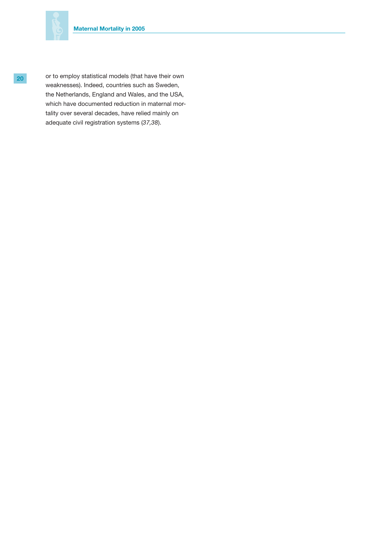

**20** or to employ statistical models (that have their own weaknesses). Indeed, countries such as Sweden, the Netherlands, England and Wales, and the USA, which have documented reduction in maternal mortality over several decades, have relied mainly on adequate civil registration systems (*37,38*).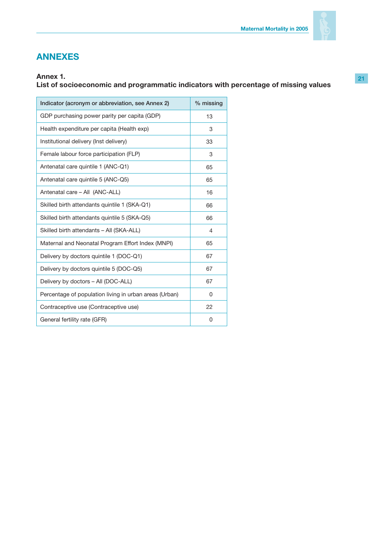

# **ANNEXES**

# **Annex 1.**

# **List of socioeconomic and programmatic indicators with percentage of missing values**

| Indicator (acronym or abbreviation, see Annex 2)       | % missing |
|--------------------------------------------------------|-----------|
| GDP purchasing power parity per capita (GDP)           | 13        |
| Health expenditure per capita (Health exp)             | 3         |
| Institutional delivery (Inst delivery)                 | 33        |
| Female labour force participation (FLP)                | 3         |
| Antenatal care quintile 1 (ANC-Q1)                     | 65        |
| Antenatal care quintile 5 (ANC-Q5)                     | 65        |
| Antenatal care - All (ANC-ALL)                         | 16        |
| Skilled birth attendants quintile 1 (SKA-Q1)           | 66        |
| Skilled birth attendants quintile 5 (SKA-Q5)           | 66        |
| Skilled birth attendants - All (SKA-ALL)               | 4         |
| Maternal and Neonatal Program Effort Index (MNPI)      | 65        |
| Delivery by doctors quintile 1 (DOC-Q1)                | 67        |
| Delivery by doctors quintile 5 (DOC-Q5)                | 67        |
| Delivery by doctors - All (DOC-ALL)                    | 67        |
| Percentage of population living in urban areas (Urban) | 0         |
| Contraceptive use (Contraceptive use)                  | 22        |
| General fertility rate (GFR)                           | 0         |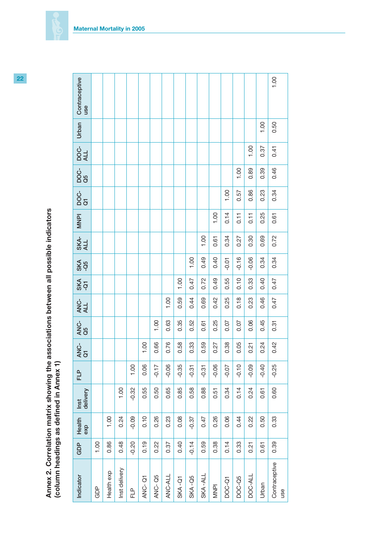| all possin -                                                                       |                                           |
|------------------------------------------------------------------------------------|-------------------------------------------|
| le nooring and according on the minimum vitalistic points in<br>1<br>$\frac{1}{2}$ | j<br>a in An                              |
| <br> <br> <br> <br> <br>ins C v c<br><b>DV -1911</b>                               | くくとうしつ りっとこ<br>י<br>כ<br>את האוואי האנו ה |

| Indicator                  | GDP     | Health<br>exp | delivery<br>Inst | FLP<br>E | ሪ፡<br>ፈ<br>ማ | ANC-<br>Q5 | ANC-<br>ALL | $rac{2}{3}$ | SKA<br>-Q5 | SKA-<br>ALL | <b>NNPI</b> | ပ္ပံ<br>ဝိ ဒ | ပ္ပံ<br>ဝိဒ္ | DOC-<br>ALL | Urban | Contraceptive<br>use |
|----------------------------|---------|---------------|------------------|----------|--------------|------------|-------------|-------------|------------|-------------|-------------|--------------|--------------|-------------|-------|----------------------|
| GDP                        | 1.00    |               |                  |          |              |            |             |             |            |             |             |              |              |             |       |                      |
| Health exp                 | 0.86    | 1.00          |                  |          |              |            |             |             |            |             |             |              |              |             |       |                      |
| Inst delivery              | 0.48    | 0.24          | 1.00             |          |              |            |             |             |            |             |             |              |              |             |       |                      |
| $F_{\square}^{\mathsf{p}}$ | $-0.20$ | $-0.09$       | $-0.32$          | 1.00     |              |            |             |             |            |             |             |              |              |             |       |                      |
| ANC-Q1                     | 0.19    | 0.10          | 0.55             | 0.06     | 1.00         |            |             |             |            |             |             |              |              |             |       |                      |
| ANC-Q5                     | 0.22    | 0.26          | 0.50             | $-0.17$  | 0.66         | 1.00       |             |             |            |             |             |              |              |             |       |                      |
| ANC-ALL                    | 0.37    | 0.23          | 0.65             | $-0.06$  | 0.76         | 0.63       | 1.00        |             |            |             |             |              |              |             |       |                      |
| SKA-Q1                     | 0.40    | 0.08          | 0.85             | $-0.35$  | 0.58         | 0.35       | 0.59        | 1.00        |            |             |             |              |              |             |       |                      |
| SKA-Q5                     | $-0.14$ | $-0.37$       | 0.58             | $-0.31$  | 0.33         | 0.52       | 0.44        | 0.47        | 1.00       |             |             |              |              |             |       |                      |
| SKA-ALL                    | 0.59    | 0.47          | 0.88             | $-0.31$  | 0.59         | 0.61       | 0.69        | 0.72        | 0.49       | 1.00        |             |              |              |             |       |                      |
| <b>NNPI</b>                | 0.38    | 0.26          | 0.51             | $-0.06$  | 0.27         | 0.25       | 0.42        | 0.49        | 0.40       | 0.61        | 1.00        |              |              |             |       |                      |
| <b>DOC-Q1</b>              | 0.14    | 0.06          | 0.34             | $-0.07$  | 0.38         | 0.07       | 0.25        | 0.55        | $-0.01$    | 0.34        | 0.14        | 1.00         |              |             |       |                      |
| DOC-Q5                     | 0.33    | 0.44          | 0.14             | $-0.10$  | 0.05         | 0.07       | 0.18        | 0.10        | $-0.16$    | 0.27        | 0.11        | 0.57         | 1.00         |             |       |                      |
| DOC-ALL                    | 0.21    | 0.22          | 0.24             | $-0.09$  | 0.21         | 0.06       | 0.23        | 0.33        | $-0.06$    | 0.30        | 0.11        | 0.86         | 0.89         | 1.00        |       |                      |
| Urban                      | 0.61    | 0.50          | 0.61             | $-0.40$  | 0.24         | 0.45       | 0.46        | 0.40        | 0.34       | 0.69        | 0.25        | 0.23         | 0.39         | 0.37        | 1.00  |                      |
| Contraceptive<br>use       | 0.39    | 0.33          | 0.60             | $-0.25$  | 0.42         | 0.31       | 0.47        | 0.47        | 0.34       | 0.72        | 0.61        | 0.34         | 0.46         | 0.41        | 0.50  | 1.00                 |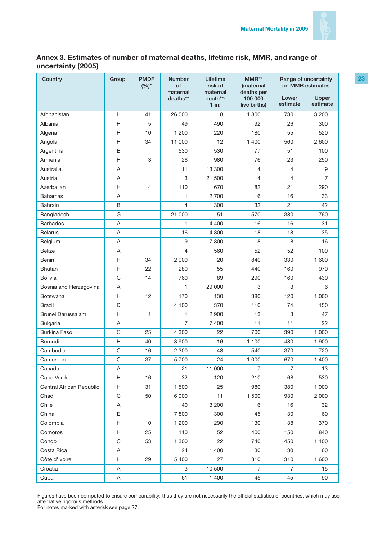

# **Annex 3. Estimates of number of maternal deaths, lifetime risk, MMR, and range of uncertainty (2005)**

| Country                  | Group                     | <b>PMDF</b><br>$(%)^*$ | <b>Number</b><br>of<br>maternal | Lifetime<br>risk of<br>maternal | $MMR**$<br>(maternal<br>deaths per | on MMR estimates  | Range of uncertainty |
|--------------------------|---------------------------|------------------------|---------------------------------|---------------------------------|------------------------------------|-------------------|----------------------|
|                          |                           |                        | deaths**                        | death**:<br>$1$ in:             | 100 000<br>live births)            | Lower<br>estimate | Upper<br>estimate    |
| Afghanistan              | H                         | 41                     | 26 000                          | 8                               | 1800                               | 730               | 3 2 0 0              |
| Albania                  | Η                         | 5                      | 49                              | 490                             | 92                                 | 26                | 300                  |
| Algeria                  | H                         | 10                     | 1 200                           | 220                             | 180                                | 55                | 520                  |
| Angola                   | Η                         | 34                     | 11 000                          | 12                              | 1 400                              | 560               | 2 600                |
| Argentina                | B                         |                        | 530                             | 530                             | 77                                 | 51                | 100                  |
| Armenia                  | Η                         | 3                      | 26                              | 980                             | 76                                 | 23                | 250                  |
| Australia                | A                         |                        | 11                              | 13 300                          | $\overline{4}$                     | 4                 | 9                    |
| Austria                  | Α                         |                        | 3                               | 21 500                          | $\overline{4}$                     | 4                 | $\overline{7}$       |
| Azerbaijan               | Н                         | 4                      | 110                             | 670                             | 82                                 | 21                | 290                  |
| <b>Bahamas</b>           | A                         |                        | 1                               | 2 700                           | 16                                 | 16                | 33                   |
| <b>Bahrain</b>           | B                         |                        | $\overline{4}$                  | 1 300                           | 32                                 | 21                | 42                   |
| Bangladesh               | G                         |                        | 21 000                          | 51                              | 570                                | 380               | 760                  |
| <b>Barbados</b>          | Α                         |                        | 1                               | 4 4 0 0                         | 16                                 | 16                | 31                   |
| <b>Belarus</b>           | Α                         |                        | 16                              | 4 800                           | 18                                 | 18                | 35                   |
| Belgium                  | A                         |                        | 9                               | 7800                            | 8                                  | 8                 | 16                   |
| <b>Belize</b>            | A                         |                        | 4                               | 560                             | 52                                 | 52                | 100                  |
| Benin                    | Η                         | 34                     | 2 9 0 0                         | 20                              | 840                                | 330               | 1 600                |
| Bhutan                   | Η                         | 22                     | 280                             | 55                              | 440                                | 160               | 970                  |
| <b>Bolivia</b>           | C                         | 14                     | 760                             | 89                              | 290                                | 160               | 430                  |
| Bosnia and Herzegovina   | A                         |                        | 1                               | 29 000                          | 3                                  | 3                 | 6                    |
| Botswana                 | H                         | 12                     | 170                             | 130                             | 380                                | 120               | 1 000                |
| Brazil                   | D                         |                        | 4 100                           | 370                             | 110                                | 74                | 150                  |
| Brunei Darussalam        | Η                         | 1                      | $\mathbf{1}$                    | 2 9 0 0                         | 13                                 | 3                 | 47                   |
| <b>Bulgaria</b>          | A                         |                        | $\overline{7}$                  | 7 400                           | 11                                 | 11                | 22                   |
| <b>Burkina Faso</b>      | C                         | 25                     | 4 300                           | 22                              | 700                                | 390               | 1 0 0 0              |
| <b>Burundi</b>           | Н                         | 40                     | 3 9 0 0                         | 16                              | 1 100                              | 480               | 1 900                |
| Cambodia                 | C                         | 16                     | 2 3 0 0                         | 48                              | 540                                | 370               | 720                  |
| Cameroon                 | C                         | 37                     | 5 700                           | 24                              | 1 0 0 0                            | 670               | 1 400                |
| Canada                   | Α                         |                        | 21                              | 11 000                          | $\overline{7}$                     | $\overline{7}$    | 13                   |
| Cape Verde               | H                         | 16                     | 32                              | 120                             | 210                                | 68                | 530                  |
| Central African Republic | H                         | 31                     | 1 500                           | 25                              | 980                                | 380               | 1 900                |
| Chad                     | $\mathsf C$               | 50                     | 6 900                           | 11                              | 1 500                              | 930               | 2 0 0 0              |
| Chile                    | Α                         |                        | 40                              | 3 2 0 0                         | 16                                 | 16                | 32                   |
| China                    | Ε                         |                        | 7800                            | 1 300                           | 45                                 | 30                | 60                   |
| Colombia                 | $\boldsymbol{\mathsf{H}}$ | 10                     | 1 200                           | 290                             | 130                                | 38                | 370                  |
| Comoros                  | Н                         | 25                     | 110                             | 52                              | 400                                | 150               | 840                  |
| Congo                    | $\mathsf C$               | 53                     | 1 300                           | 22                              | 740                                | 450               | 1 100                |
| Costa Rica               | Α                         |                        | 24                              | 1 400                           | 30                                 | 30                | 60                   |
| Côte d'Ivoire            | H                         | 29                     | 5 400                           | 27                              | 810                                | 310               | 1 600                |
| Croatia                  | Α                         |                        | 3                               | 10 500                          | $\overline{7}$                     | $\overline{7}$    | 15                   |
| Cuba                     | A                         |                        | 61                              | 1 400                           | 45                                 | 45                | 90                   |

Figures have been computed to ensure comparability; thus they are not necessarily the official statistics of countries, which may use alternative rigorous methods. For notes marked with asterisk see page 27.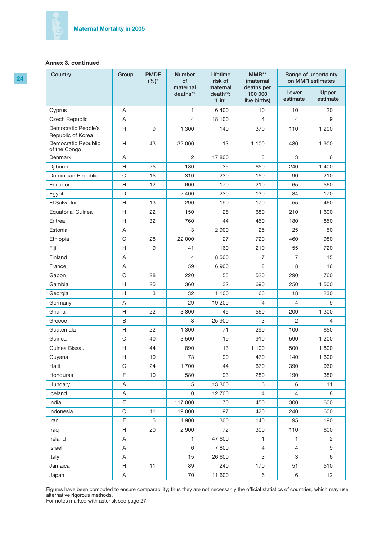| 24 | Country                                  | Group       | <b>PMDF</b><br>$(%)^{*}$ | <b>Number</b><br>of  | Lifetime<br>risk of             | MMR**<br>(maternal                    |                   | Range of uncertainty<br>on MMR estimates |
|----|------------------------------------------|-------------|--------------------------|----------------------|---------------------------------|---------------------------------------|-------------------|------------------------------------------|
|    |                                          |             |                          | maternal<br>deaths** | maternal<br>death**:<br>$1$ in: | deaths per<br>100 000<br>live births) | Lower<br>estimate | Upper<br>estimate                        |
|    | Cyprus                                   | A           |                          | 1.                   | 6 400                           | 10                                    | 10                | 20                                       |
|    | Czech Republic                           | Α           |                          | 4                    | 18 100                          | 4                                     | 4                 | 9                                        |
|    | Democratic People's<br>Republic of Korea | Н           | 9                        | 1 300                | 140                             | 370                                   | 110               | 1 200                                    |
|    | Democratic Republic<br>of the Congo      | Н           | 43                       | 32 000               | 13                              | 1 100                                 | 480               | 1 900                                    |
|    | Denmark                                  | Α           |                          | $\overline{c}$       | 17 800                          | 3                                     | 3                 | 6                                        |
|    | Djibouti                                 | Н           | 25                       | 180                  | 35                              | 650                                   | 240               | 1 400                                    |
|    | Dominican Republic                       | $\mathsf C$ | 15                       | 310                  | 230                             | 150                                   | 90                | 210                                      |
|    | Ecuador                                  | Н           | 12                       | 600                  | 170                             | 210                                   | 65                | 560                                      |
|    | Egypt                                    | D           |                          | 2 4 0 0              | 230                             | 130                                   | 84                | 170                                      |
|    | El Salvador                              | Н           | 13                       | 290                  | 190                             | 170                                   | 55                | 460                                      |
|    | <b>Equatorial Guinea</b>                 | Н           | 22                       | 150                  | 28                              | 680                                   | 210               | 1 600                                    |
|    | Eritrea                                  | Н           | 32                       | 760                  | 44                              | 450                                   | 180               | 850                                      |
|    | Estonia                                  | Α           |                          | 3                    | 2 9 0 0                         | 25                                    | 25                | 50                                       |
|    | Ethiopia                                 | C           | 28                       | 22 000               | 27                              | 720                                   | 460               | 980                                      |
|    | Fiji                                     | Н           | $9\,$                    | 41                   | 160                             | 210                                   | 55                | 720                                      |
|    | Finland                                  | Α           |                          | 4                    | 8 500                           | 7                                     | $\overline{7}$    | 15                                       |
|    | France                                   | Α           |                          | 59                   | 6 9 0 0                         | 8                                     | 8                 | 16                                       |
|    | Gabon                                    | $\mathsf C$ | 28                       | 220                  | 53                              | 520                                   | 290               | 760                                      |
|    | Gambia                                   | Н           | 25                       | 360                  | 32                              | 690                                   | 250               | 1 500                                    |
|    | Georgia                                  | Н           | 3                        | 32                   | 1 100                           | 66                                    | 18                | 230                                      |
|    | Germany                                  | Α           |                          | 29                   | 19 200                          | 4                                     | 4                 | 9                                        |
|    | Ghana                                    | Н           | 22                       | 3800                 | 45                              | 560                                   | 200               | 1 300                                    |
|    | Greece                                   | B           |                          | 3                    | 25 900                          | 3                                     | 2                 | 4                                        |
|    | Guatemala                                | Н           | 22                       | 1 300                | 71                              | 290                                   | 100               | 650                                      |
|    | Guinea                                   | C           | 40                       | 3 5 0 0              | 19                              | 910                                   | 590               | 1 200                                    |
|    | Guinea Bissau                            | Н           | 44                       | 890                  | 13                              | 1 100                                 | 500               | 1800                                     |
|    | Guyana                                   | Н           | $10$                     | $73\,$               | 90                              | 470                                   | 140               | 1 600                                    |
|    | Haiti                                    | C           | 24                       | 1700                 | 44                              | 670                                   | 390               | 960                                      |
|    | Honduras                                 | F           | 10                       | 580                  | 93                              | 280                                   | 190               | 380                                      |
|    | Hungary                                  | A           |                          | 5                    | 13 300                          | 6                                     | 6                 | 11                                       |
|    | Iceland                                  | Α           |                          | $\mathbf 0$          | 12 700                          | $\overline{4}$                        | $\overline{4}$    | 8                                        |
|    | India                                    | E           |                          | 117 000              | 70                              | 450                                   | 300               | 600                                      |
|    | Indonesia                                | $\mathsf C$ | 11                       | 19 000               | 97                              | 420                                   | 240               | 600                                      |
|    | Iran                                     | F           | 5                        | 1 900                | 300                             | 140                                   | 95                | 190                                      |
|    | Iraq                                     | Н           | 20                       | 2 9 0 0              | 72                              | 300                                   | 110               | 600                                      |
|    | Ireland                                  | A           |                          | $\mathbf{1}$         | 47 600                          | $\mathbf{1}$                          | $\mathbf{1}$      | $\overline{2}$                           |
|    | Israel                                   | A           |                          | 6                    | 7800                            | $\overline{4}$                        | 4                 | 9                                        |
|    | Italy                                    | Α           |                          | 15                   | 26 600                          | $\mathbf{3}$                          | 3                 | $\,6\,$                                  |
|    | Jamaica                                  | Н           | 11                       | 89                   | 240                             | 170                                   | 51                | 510                                      |
|    | Japan                                    | A           |                          | 70                   | 11 600                          | 6                                     | 6                 | 12                                       |

Figures have been computed to ensure comparability; thus they are not necessarily the official statistics of countries, which may use alternative rigorous methods.

For notes marked with asterisk see page 27.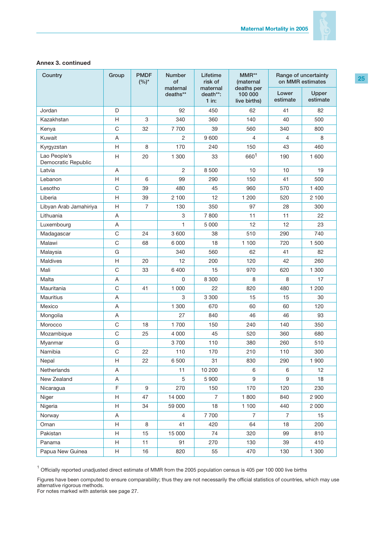

| Country                             | Group       | <b>PMDF</b><br>$(%)^*$ | <b>Number</b><br>of  | Lifetime<br>risk of             | MMR**<br>(maternal                    |                   | Range of uncertainty<br>on MMR estimates |
|-------------------------------------|-------------|------------------------|----------------------|---------------------------------|---------------------------------------|-------------------|------------------------------------------|
|                                     |             |                        | maternal<br>deaths** | maternal<br>death**:<br>$1$ in: | deaths per<br>100 000<br>live births) | Lower<br>estimate | Upper<br>estimate                        |
| Jordan                              | D           |                        | 92                   | 450                             | 62                                    | 41                | 82                                       |
| Kazakhstan                          | H           | 3                      | 340                  | 360                             | 140                                   | 40                | 500                                      |
| Kenya                               | C           | 32                     | 7700                 | 39                              | 560                                   | 340               | 800                                      |
| Kuwait                              | Α           |                        | 2                    | 9 600                           | 4                                     | 4                 | 8                                        |
| Kyrgyzstan                          | H           | 8                      | 170                  | 240                             | 150                                   | 43                | 460                                      |
| Lao People's<br>Democratic Republic | H           | 20                     | 1 300                | 33                              | 6601                                  | 190               | 1 600                                    |
| Latvia                              | A           |                        | $\overline{2}$       | 8 500                           | 10                                    | 10                | 19                                       |
| Lebanon                             | H           | 6                      | 99                   | 290                             | 150                                   | 41                | 500                                      |
| Lesotho                             | C           | 39                     | 480                  | 45                              | 960                                   | 570               | 1 400                                    |
| Liberia                             | H           | 39                     | 2 100                | 12                              | 1 200                                 | 520               | 2 100                                    |
| Libyan Arab Jamahiriya              | H           | $\overline{7}$         | 130                  | 350                             | 97                                    | 28                | 300                                      |
| Lithuania                           | A           |                        | 3                    | 7800                            | 11                                    | 11                | 22                                       |
| Luxembourg                          | Α           |                        | 1                    | 5 0 0 0                         | 12                                    | 12                | 23                                       |
| Madagascar                          | C           | 24                     | 3 600                | 38                              | 510                                   | 290               | 740                                      |
| Malawi                              | C           | 68                     | 6 0 0 0              | 18                              | 1 100                                 | 720               | 1500                                     |
| Malaysia                            | G           |                        | 340                  | 560                             | 62                                    | 41                | 82                                       |
| Maldives                            | H           | 20                     | 12                   | 200                             | 120                                   | 42                | 260                                      |
| Mali                                | C           | 33                     | 6 400                | 15                              | 970                                   | 620               | 1 300                                    |
| Malta                               | Α           |                        | $\Omega$             | 8 3 0 0                         | 8                                     | 8                 | 17                                       |
| Mauritania                          | C           | 41                     | 1 0 0 0              | 22                              | 820                                   | 480               | 1 200                                    |
| <b>Mauritius</b>                    | A           |                        | 3                    | 3 3 0 0                         | 15                                    | 15                | 30                                       |
| Mexico                              | A           |                        | 1 300                | 670                             | 60                                    | 60                | 120                                      |
| Mongolia                            | Α           |                        | 27                   | 840                             | 46                                    | 46                | 93                                       |
| Morocco                             | C           | 18                     | 1700                 | 150                             | 240                                   | 140               | 350                                      |
| Mozambique                          | C           | 25                     | 4 0 0 0              | 45                              | 520                                   | 360               | 680                                      |
| Myanmar                             | G           |                        | 3700                 | 110                             | 380                                   | 260               | 510                                      |
| Namibia                             | $\mathsf C$ | 22                     | 110                  | 170                             | 210                                   | 110               | 300                                      |
| Nepal                               | H           | 22                     | 6 500                | 31                              | 830                                   | 290               | 1 900                                    |
| Netherlands                         | A           |                        | 11                   | 10 200                          | 6                                     | 6                 | 12                                       |
| New Zealand                         | Α           |                        | 5                    | 5 900                           | 9                                     | 9                 | 18                                       |
| Nicaragua                           | F           | 9                      | 270                  | 150                             | 170                                   | 120               | 230                                      |
| Niger                               | H           | 47                     | 14 000               | $\overline{7}$                  | 1800                                  | 840               | 2 900                                    |
| Nigeria                             | Н           | 34                     | 59 000               | 18                              | 1 100                                 | 440               | 2 000                                    |
| Norway                              | A           |                        | 4                    | 7700                            | 7                                     | 7                 | 15                                       |
| Oman                                | H           | 8                      | 41                   | 420                             | 64                                    | 18                | 200                                      |
| Pakistan                            | H           | 15                     | 15 000               | 74                              | 320                                   | 99                | 810                                      |
| Panama                              | Н           | 11                     | 91                   | 270                             | 130                                   | 39                | 410                                      |
| Papua New Guinea                    | H           | 16                     | 820                  | 55                              | 470                                   | 130               | 1 300                                    |

<sup>1</sup> Officially reported unadjusted direct estimate of MMR from the 2005 population census is 405 per 100 000 live births

Figures have been computed to ensure comparability; thus they are not necessarily the official statistics of countries, which may use alternative rigorous methods.

For notes marked with asterisk see page 27.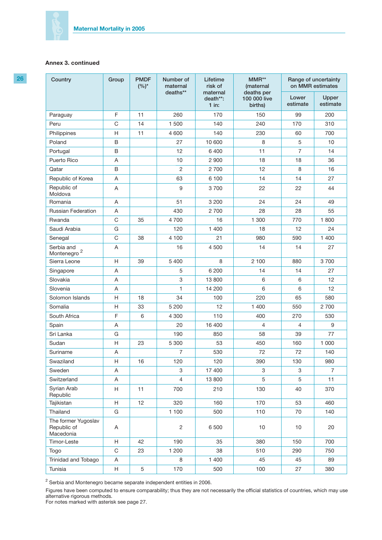| 26 | Country                                         | Group       | <b>PMDF</b><br>$(%)^*$ | Number of<br>maternal | Lifetime<br>risk of             | MMR**<br>(maternal                    | Range of uncertainty<br>on MMR estimates |                   |
|----|-------------------------------------------------|-------------|------------------------|-----------------------|---------------------------------|---------------------------------------|------------------------------------------|-------------------|
|    |                                                 |             |                        | deaths**              | maternal<br>death**:<br>$1$ in: | deaths per<br>100 000 live<br>births) | Lower<br>estimate                        | Upper<br>estimate |
|    | Paraguay                                        | F           | 11                     | 260                   | 170                             | 150                                   | 99                                       | 200               |
|    | Peru                                            | $\mathsf C$ | 14                     | 1 500                 | 140                             | 240                                   | 170                                      | 310               |
|    | Philippines                                     | Н           | 11                     | 4 600                 | 140                             | 230                                   | 60                                       | 700               |
|    | Poland                                          | $\sf B$     |                        | 27                    | 10 600                          | 8                                     | 5                                        | 10                |
|    | Portugal                                        | $\sf B$     |                        | 12                    | 6 400                           | 11                                    | $\overline{7}$                           | 14                |
|    | Puerto Rico                                     | Α           |                        | 10                    | 2 9 0 0                         | 18                                    | 18                                       | 36                |
|    | Qatar                                           | B           |                        | $\overline{c}$        | 2 700                           | 12                                    | 8                                        | 16                |
|    | Republic of Korea                               | Α           |                        | 63                    | 6 100                           | 14                                    | 14                                       | 27                |
|    | Republic of<br>Moldova                          | Α           |                        | $\boldsymbol{9}$      | 3700                            | 22                                    | 22                                       | 44                |
|    | Romania                                         | Α           |                        | 51                    | 3 200                           | 24                                    | 24                                       | 49                |
|    | <b>Russian Federation</b>                       | Α           |                        | 430                   | 2700                            | 28                                    | 28                                       | 55                |
|    | Rwanda                                          | $\mathsf C$ | 35                     | 4700                  | 16                              | 1 300                                 | 770                                      | 1800              |
|    | Saudi Arabia                                    | G           |                        | 120                   | 1 400                           | 18                                    | 12                                       | 24                |
|    | Senegal                                         | $\mathsf C$ | 38                     | 4 100                 | 21                              | 980                                   | 590                                      | 1 400             |
|    | Serbia and<br>Montenegro <sup>2</sup>           | Α           |                        | 16                    | 4 500                           | 14                                    | 14                                       | 27                |
|    | Sierra Leone                                    | H           | 39                     | 5 4 0 0               | 8                               | 2 100                                 | 880                                      | 3700              |
|    | Singapore                                       | A           |                        | 5                     | 6 200                           | 14                                    | 14                                       | 27                |
|    | Slovakia                                        | A           |                        | 3                     | 13 800                          | 6                                     | 6                                        | 12                |
|    | Slovenia                                        | Α           |                        | 1                     | 14 200                          | 6                                     | 6                                        | 12                |
|    | Solomon Islands                                 | H           | 18                     | 34                    | 100                             | 220                                   | 65                                       | 580               |
|    | Somalia                                         | Н           | 33                     | 5 200                 | 12                              | 1 400                                 | 550                                      | 2 700             |
|    | South Africa                                    | F           | 6                      | 4 300                 | 110                             | 400                                   | 270                                      | 530               |
|    | Spain                                           | A           |                        | 20                    | 16 400                          | $\overline{4}$                        | 4                                        | 9                 |
|    | Sri Lanka                                       | G           |                        | 190                   | 850                             | 58                                    | 39                                       | 77                |
|    | Sudan                                           | Н           | 23                     | 5 300                 | 53                              | 450                                   | 160                                      | 1 0 0 0           |
|    | Suriname                                        | $\mathsf A$ |                        | $\overline{7}$        | 530                             | 72                                    | 72                                       | 140               |
|    | Swaziland                                       | H           | 16                     | 120                   | 120                             | 390                                   | 130                                      | 980               |
|    | Sweden                                          | A           |                        | 3                     | 17 400                          | 3                                     | 3                                        | $\overline{7}$    |
|    | Switzerland                                     | A           |                        | $\overline{4}$        | 13 800                          | 5                                     | 5                                        | 11                |
|    | Syrian Arab<br>Republic                         | H           | 11                     | 700                   | 210                             | 130                                   | 40                                       | 370               |
|    | Tajikistan                                      | H           | 12                     | 320                   | 160                             | 170                                   | 53                                       | 460               |
|    | Thailand                                        | G           |                        | 1 100                 | 500                             | 110                                   | 70                                       | 140               |
|    | The former Yugoslav<br>Republic of<br>Macedonia | A           |                        | $\overline{c}$        | 6 500                           | 10                                    | 10                                       | 20                |
|    | Timor-Leste                                     | H           | 42                     | 190                   | 35                              | 380                                   | 150                                      | 700               |
|    | Togo                                            | C           | 23                     | 1 200                 | 38                              | 510                                   | 290                                      | 750               |
|    | Trinidad and Tobago                             | Α           |                        | 8                     | 1 400                           | 45                                    | 45                                       | 89                |
|    | Tunisia                                         | Н           | $\,$ 5 $\,$            | 170                   | 500                             | 100                                   | 27                                       | 380               |

 $^2$  Serbia and Montenegro became separate independent entities in 2006.

Figures have been computed to ensure comparability; thus they are not necessarily the official statistics of countries, which may use alternative rigorous methods.

For notes marked with asterisk see page 27.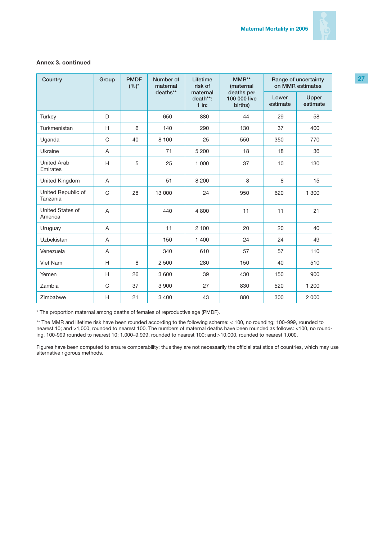

| Country                        | Group       | <b>PMDF</b><br>$(%)^*$ | Number of<br>maternal | Lifetime<br>risk of             | $MMR**$<br><i>(maternal</i>           |                   | Range of uncertainty<br>on MMR estimates |
|--------------------------------|-------------|------------------------|-----------------------|---------------------------------|---------------------------------------|-------------------|------------------------------------------|
|                                |             |                        | deaths**              | maternal<br>death**:<br>$1$ in: | deaths per<br>100 000 live<br>births) | Lower<br>estimate | Upper<br>estimate                        |
| Turkey                         | D           |                        | 650                   | 880                             | 44                                    | 29                | 58                                       |
| Turkmenistan                   | H           | 6                      | 140                   | 290                             | 130                                   | 37                | 400                                      |
| Uganda                         | C           | 40                     | 8 100                 | 25                              | 550                                   | 350               | 770                                      |
| Ukraine                        | A           |                        | 71                    | 5 200                           | 18                                    | 18                | 36                                       |
| <b>United Arab</b><br>Emirates | H           | 5                      | 25                    | 1 0 0 0                         | 37                                    | 10                | 130                                      |
| United Kingdom                 | A           |                        | 51                    | 8 2 0 0                         | 8                                     | 8                 | 15                                       |
| United Republic of<br>Tanzania | $\mathsf C$ | 28                     | 13 000                | 24                              | 950                                   | 620               | 1 300                                    |
| United States of<br>America    | A           |                        | 440                   | 4800                            | 11                                    | 11                | 21                                       |
| Uruguay                        | A           |                        | 11                    | 2 100                           | 20                                    | 20                | 40                                       |
| Uzbekistan                     | A           |                        | 150                   | 1 400                           | 24                                    | 24                | 49                                       |
| Venezuela                      | A           |                        | 340                   | 610                             | 57                                    | 57                | 110                                      |
| Viet Nam                       | H           | 8                      | 2 500                 | 280                             | 150                                   | 40                | 510                                      |
| Yemen                          | H           | 26                     | 3 600                 | 39                              | 430                                   | 150               | 900                                      |
| Zambia                         | C           | 37                     | 3 9 0 0               | 27                              | 830                                   | 520               | 1 200                                    |
| Zimbabwe                       | H           | 21                     | 3 4 0 0               | 43                              | 880                                   | 300               | 2 0 0 0                                  |

\* The proportion maternal among deaths of females of reproductive age (PMDF).

\*\* The MMR and lifetime risk have been rounded according to the following scheme: < 100, no rounding; 100–999, rounded to nearest 10; and >1,000, rounded to nearest 100. The numbers of maternal deaths have been rounded as follows: <100, no rounding, 100-999 rounded to nearest 10; 1,000–9,999, rounded to nearest 100; and >10,000, rounded to nearest 1,000.

Figures have been computed to ensure comparability; thus they are not necessarily the official statistics of countries, which may use alternative rigorous methods.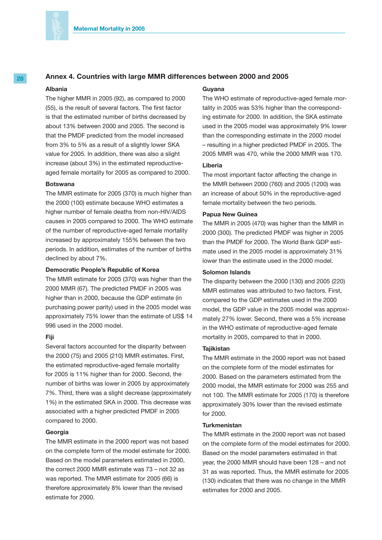

### **28 Annex 4. Countries with large MMR differences between 2000 and 2005**

#### **Albania**

The higher MMR in 2005 (92), as compared to 2000 (55), is the result of several factors. The first factor is that the estimated number of births decreased by about 13% between 2000 and 2005. The second is that the PMDF predicted from the model increased from 3% to 5% as a result of a slightly lower SKA value for 2005. In addition, there was also a slight increase (about 3%) in the estimated reproductiveaged female mortality for 2005 as compared to 2000.

#### **Botswana**

The MMR estimate for 2005 (370) is much higher than the 2000 (100) estimate because WHO estimates a higher number of female deaths from non-HIV/AIDS causes in 2005 compared to 2000. The WHO estimate of the number of reproductive-aged female mortality increased by approximately 155% between the two periods. In addition, estimates of the number of births declined by about 7%.

#### **Democratic People's Republic of Korea**

The MMR estimate for 2005 (370) was higher than the 2000 MMR (67). The predicted PMDF in 2005 was higher than in 2000, because the GDP estimate (in purchasing power parity) used in the 2005 model was approximately 75% lower than the estimate of US\$ 14 996 used in the 2000 model.

### **Fiji**

Several factors accounted for the disparity between the 2000 (75) and 2005 (210) MMR estimates. First, the estimated reproductive-aged female mortality for 2005 is 11% higher than for 2000. Second, the number of births was lower in 2005 by approximately 7%. Third, there was a slight decrease (approximately 1%) in the estimated SKA in 2000. This decrease was associated with a higher predicted PMDF in 2005 compared to 2000.

#### **Georgia**

The MMR estimate in the 2000 report was not based on the complete form of the model estimate for 2000. Based on the model parameters estimated in 2000, the correct 2000 MMR estimate was 73 – not 32 as was reported. The MMR estimate for 2005 (66) is therefore approximately 8% lower than the revised estimate for 2000.

#### **Guyana**

The WHO estimate of reproductive-aged female mortality in 2005 was 53% higher than the corresponding estimate for 2000. In addition, the SKA estimate used in the 2005 model was approximately 9% lower than the corresponding estimate in the 2000 model – resulting in a higher predicted PMDF in 2005. The 2005 MMR was 470, while the 2000 MMR was 170.

### **Liberia**

The most important factor affecting the change in the MMR between 2000 (760) and 2005 (1200) was an increase of about 50% in the reproductive-aged female mortality between the two periods.

#### **Papua New Guinea**

The MMR in 2005 (470) was higher than the MMR in 2000 (300). The predicted PMDF was higher in 2005 than the PMDF for 2000. The World Bank GDP estimate used in the 2005 model is approximately 31% lower than the estimate used in the 2000 model.

#### **Solomon Islands**

The disparity between the 2000 (130) and 2005 (220) MMR estimates was attributed to two factors. First, compared to the GDP estimates used in the 2000 model, the GDP value in the 2005 model was approximately 27% lower. Second, there was a 5% increase in the WHO estimate of reproductive-aged female mortality in 2005, compared to that in 2000.

#### **Tajikistan**

The MMR estimate in the 2000 report was not based on the complete form of the model estimates for 2000. Based on the parameters estimated from the 2000 model, the MMR estimate for 2000 was 255 and not 100. The MMR estimate for 2005 (170) is therefore approximately 30% lower than the revised estimate for 2000.

### **Turkmenistan**

The MMR estimate in the 2000 report was not based on the complete form of the model estimates for 2000. Based on the model parameters estimated in that year, the 2000 MMR should have been 128 – and not 31 as was reported. Thus, the MMR estimate for 2005 (130) indicates that there was no change in the MMR estimates for 2000 and 2005.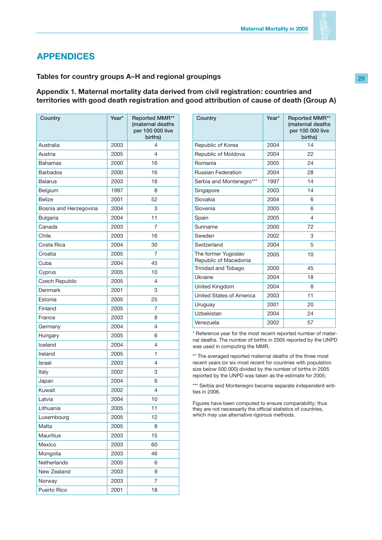

# **APPENDICES**

# **Tables for country groups A–H and regional groupings**

### **Appendix 1. Maternal mortality data derived from civil registration: countries and territories with good death registration and good attribution of cause of death (Group A)**

| Country                | Year* | Reported MMR**<br>(maternal deaths<br>per 100 000 live<br>births) |
|------------------------|-------|-------------------------------------------------------------------|
| Australia              | 2003  | 4                                                                 |
| Austria                | 2005  | 4                                                                 |
| <b>Bahamas</b>         | 2000  | 16                                                                |
| <b>Barbados</b>        | 2000  | 16                                                                |
| <b>Belarus</b>         | 2003  | 18                                                                |
| Belgium                | 1997  | 8                                                                 |
| <b>Belize</b>          | 2001  | 52                                                                |
| Bosnia and Herzegovina | 2004  | 3                                                                 |
| <b>Bulgaria</b>        | 2004  | 11                                                                |
| Canada                 | 2003  | 7                                                                 |
| Chile                  | 2003  | 16                                                                |
| Costa Rica             | 2004  | 30                                                                |
| Croatia                | 2005  | 7                                                                 |
| Cuba                   | 2004  | 45                                                                |
| Cyprus                 | 2005  | 10                                                                |
| <b>Czech Republic</b>  | 2005  | 4                                                                 |
| Denmark                | 2001  | 3                                                                 |
| Estonia                | 2005  | 25                                                                |
| Finland                | 2005  | 7                                                                 |
| France                 | 2003  | 8                                                                 |
| Germany                | 2004  | 4                                                                 |
| Hungary                | 2005  | 6                                                                 |
| Iceland                | 2004  | 4                                                                 |
| Ireland                | 2005  | 1                                                                 |
| <b>Israel</b>          | 2003  | 4                                                                 |
| Italy                  | 2002  | 3                                                                 |
| Japan                  | 2004  | 6                                                                 |
| Kuwait                 | 2002  | 4                                                                 |
| Latvia                 | 2004  | 10                                                                |
| Lithuania              | 2005  | 11                                                                |
| Luxembourg             | 2005  | 12                                                                |
| Malta                  | 2005  | 8                                                                 |
| Mauritius              | 2003  | 15                                                                |
| Mexico                 | 2003  | 60                                                                |
| Mongolia               | 2003  | 46                                                                |
| Netherlands            | 2005  | 6                                                                 |
| New Zealand            | 2003  | 9                                                                 |
| Norway                 | 2003  | $\overline{7}$                                                    |
| Puerto Rico            | 2001  | 18                                                                |

| Country                                      | Year* | Reported MMR**<br>(maternal deaths<br>per 100 000 live<br>births) |
|----------------------------------------------|-------|-------------------------------------------------------------------|
| Republic of Korea                            | 2004  | 14                                                                |
| Republic of Moldova                          | 2004  | 22                                                                |
| Romania                                      | 2005  | 24                                                                |
| <b>Russian Federation</b>                    | 2004  | 28                                                                |
| Serbia and Montenegro***                     | 1997  | 14                                                                |
| Singapore                                    | 2003  | 14                                                                |
| Slovakia                                     | 2004  | 6                                                                 |
| Slovenia                                     | 2005  | 6                                                                 |
| Spain                                        | 2005  | 4                                                                 |
| Suriname                                     | 2000  | 72                                                                |
| Sweden                                       | 2002  | 3                                                                 |
| Switzerland                                  | 2004  | 5                                                                 |
| The former Yugoslav<br>Republic of Macedonia | 2005  | 10                                                                |
| Trinidad and Tobago                          | 2000  | 45                                                                |
| Ukraine                                      | 2004  | 18                                                                |
| United Kingdom                               | 2004  | 8                                                                 |
| United States of America                     | 2003  | 11                                                                |
| Uruguay                                      | 2001  | 20                                                                |
| Uzbekistan                                   | 2004  | 24                                                                |
| Venezuela                                    | 2002  | 57                                                                |

\* Reference year for the most recent reported number of maternal deaths. The number of births in 2005 reported by the UNPD was used in computing the MMR.

\*\* The averaged reported maternal deaths of the three most recent years (or six most recent for countries with population size below 500 000) divided by the number of births in 2005 reported by the UNPD was taken as the estimate for 2005.

\*\*\* Serbia and Montenegro became separate independent entities in 2006.

Figures have been computed to ensure comparability; thus they are not necessarily the official statistics of countries, which may use alternative rigorous methods.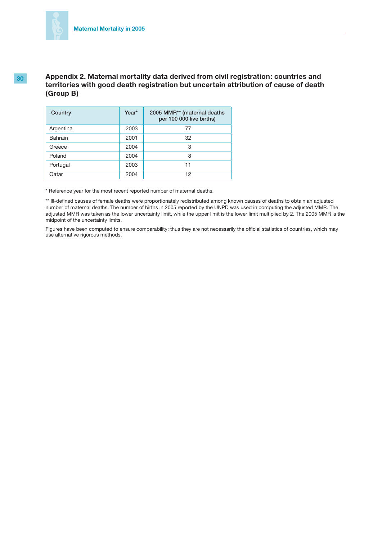

# **30 Appendix 2. Maternal mortality data derived from civil registration: countries and territories with good death registration but uncertain attribution of cause of death (Group B)**

| Country   | Year* | 2005 MMR** (maternal deaths<br>per 100 000 live births) |
|-----------|-------|---------------------------------------------------------|
| Argentina | 2003  | 77                                                      |
| Bahrain   | 2001  | 32                                                      |
| Greece    | 2004  | 3                                                       |
| Poland    | 2004  | 8                                                       |
| Portugal  | 2003  | 11                                                      |
| Qatar     | 2004  | 12                                                      |

\* Reference year for the most recent reported number of maternal deaths.

\*\* Ill-defined causes of female deaths were proportionately redistributed among known causes of deaths to obtain an adjusted number of maternal deaths. The number of births in 2005 reported by the UNPD was used in computing the adjusted MMR. The adjusted MMR was taken as the lower uncertainty limit, while the upper limit is the lower limit multiplied by 2. The 2005 MMR is the midpoint of the uncertainty limits.

Figures have been computed to ensure comparability; thus they are not necessarily the official statistics of countries, which may use alternative rigorous methods.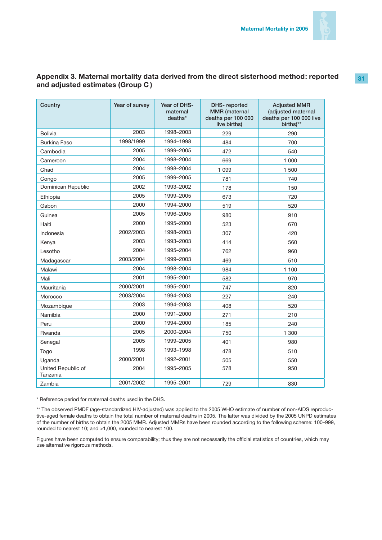

# **Appendix 3. Maternal mortality data derived from the direct sisterhood method: reported and adjusted estimates (Group C )**

| Country                        | Year of survey | Year of DHS-<br>maternal<br>deaths* | DHS-reported<br><b>MMR</b> (maternal<br>deaths per 100 000<br>live births) | <b>Adjusted MMR</b><br>(adjusted maternal<br>deaths per 100 000 live<br>births)** |
|--------------------------------|----------------|-------------------------------------|----------------------------------------------------------------------------|-----------------------------------------------------------------------------------|
| <b>Bolivia</b>                 | 2003           | 1998-2003                           | 229                                                                        | 290                                                                               |
| <b>Burkina Faso</b>            | 1998/1999      | 1994-1998                           | 484                                                                        | 700                                                                               |
| Cambodia                       | 2005           | 1999-2005                           | 472                                                                        | 540                                                                               |
| Cameroon                       | 2004           | 1998-2004                           | 669                                                                        | 1 000                                                                             |
| Chad                           | 2004           | 1998-2004                           | 1 0 9 9                                                                    | 1500                                                                              |
| Congo                          | 2005           | 1999-2005                           | 781                                                                        | 740                                                                               |
| Dominican Republic             | 2002           | 1993-2002                           | 178                                                                        | 150                                                                               |
| Ethiopia                       | 2005           | 1999-2005                           | 673                                                                        | 720                                                                               |
| Gabon                          | 2000           | 1994-2000                           | 519                                                                        | 520                                                                               |
| Guinea                         | 2005           | 1996-2005                           | 980                                                                        | 910                                                                               |
| Haiti                          | 2000           | 1995-2000                           | 523                                                                        | 670                                                                               |
| Indonesia                      | 2002/2003      | 1998-2003                           | 307                                                                        | 420                                                                               |
| Kenya                          | 2003           | 1993-2003                           | 414                                                                        | 560                                                                               |
| Lesotho                        | 2004           | 1995-2004                           | 762                                                                        | 960                                                                               |
| Madagascar                     | 2003/2004      | 1999-2003                           | 469                                                                        | 510                                                                               |
| Malawi                         | 2004           | 1998-2004                           | 984                                                                        | 1 100                                                                             |
| Mali                           | 2001           | 1995-2001                           | 582                                                                        | 970                                                                               |
| Mauritania                     | 2000/2001      | 1995-2001                           | 747                                                                        | 820                                                                               |
| Morocco                        | 2003/2004      | 1994-2003                           | 227                                                                        | 240                                                                               |
| Mozambique                     | 2003           | 1994-2003                           | 408                                                                        | 520                                                                               |
| Namibia                        | 2000           | 1991-2000                           | 271                                                                        | 210                                                                               |
| Peru                           | 2000           | 1994-2000                           | 185                                                                        | 240                                                                               |
| Rwanda                         | 2005           | 2000-2004                           | 750                                                                        | 1 300                                                                             |
| Senegal                        | 2005           | 1999-2005                           | 401                                                                        | 980                                                                               |
| Togo                           | 1998           | 1993-1998                           | 478                                                                        | 510                                                                               |
| Uganda                         | 2000/2001      | 1992-2001                           | 505                                                                        | 550                                                                               |
| United Republic of<br>Tanzania | 2004           | 1995-2005                           | 578                                                                        | 950                                                                               |
| Zambia                         | 2001/2002      | 1995-2001                           | 729                                                                        | 830                                                                               |

\* Reference period for maternal deaths used in the DHS.

\*\* The observed PMDF (age-standardized HIV-adjusted) was applied to the 2005 WHO estimate of number of non-AIDS reproductive-aged female deaths to obtain the total number of maternal deaths in 2005. The latter was divided by the 2005 UNPD estimates of the number of births to obtain the 2005 MMR. Adjusted MMRs have been rounded according to the following scheme: 100–999, rounded to nearest 10; and >1,000, rounded to nearest 100.

Figures have been computed to ensure comparability; thus they are not necessarily the official statistics of countries, which may use alternative rigorous methods.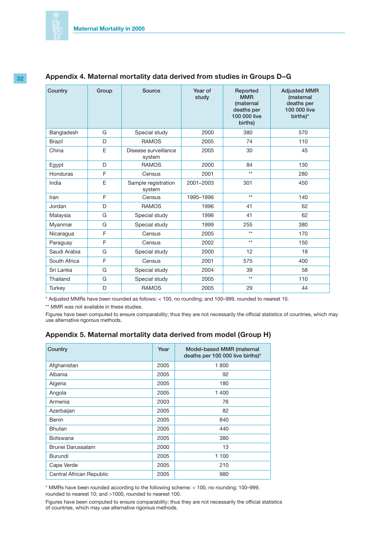| Country       | Group | Source                         | Year of<br>study | Reported<br><b>MMR</b><br><i>(maternal</i><br>deaths per<br>100 000 live<br>births) | <b>Adjusted MMR</b><br>(maternal<br>deaths per<br>100 000 live<br>births)* |
|---------------|-------|--------------------------------|------------------|-------------------------------------------------------------------------------------|----------------------------------------------------------------------------|
| Bangladesh    | G     | Special study                  | 2000             | 380                                                                                 | 570                                                                        |
| <b>Brazil</b> | D     | <b>RAMOS</b>                   | 2005             | 74                                                                                  | 110                                                                        |
| China         | E     | Disease surveillance<br>system | 2005             | 30                                                                                  | 45                                                                         |
| Egypt         | D     | <b>RAMOS</b>                   | 2000             | 84                                                                                  | 130                                                                        |
| Honduras      | F     | Census                         | 2001             | $**$                                                                                | 280                                                                        |
| India         | E     | Sample registration<br>system  | 2001-2003        | 301                                                                                 | 450                                                                        |
| Iran          | F     | Census                         | 1995-1996        | $**$                                                                                | 140                                                                        |
| Jordan        | D     | <b>RAMOS</b>                   | 1996             | 41                                                                                  | 62                                                                         |
| Malaysia      | G     | Special study                  | 1996             | 41                                                                                  | 62                                                                         |
| Myanmar       | G     | Special study                  | 1999             | 255                                                                                 | 380                                                                        |
| Nicaragua     | F     | Census                         | 2005             | $**$                                                                                | 170                                                                        |
| Paraguay      | F     | Census                         | 2002             | $**$                                                                                | 150                                                                        |
| Saudi Arabia  | G     | Special study                  | 2000             | 12                                                                                  | 18                                                                         |
| South Africa  | F     | Census                         | 2001             | 575                                                                                 | 400                                                                        |
| Sri Lanka     | G     | Special study                  | 2004             | 39                                                                                  | 58                                                                         |
| Thailand      | G     | Special study                  | 2005             | $**$                                                                                | 110                                                                        |
| <b>Turkey</b> | D     | <b>RAMOS</b>                   | 2005             | 29                                                                                  | 44                                                                         |

# **32 Appendix 4. Maternal mortality data derived from studies in Groups D–G**

\* Adjusted MMRs have been rounded as follows: < 100, no rounding; and 100–999, rounded to nearest 10.

\*\* MMR was not available in these studies.

Figures have been computed to ensure comparability; thus they are not necessarily the official statistics of countries, which may use alternative rigorous methods.

### **Appendix 5. Maternal mortality data derived from model (Group H)**

| Country                  | Year | Model-based MMR (maternal<br>deaths per 100 000 live births)* |
|--------------------------|------|---------------------------------------------------------------|
| Afghanistan              | 2005 | 1800                                                          |
| Albania                  | 2005 | 92                                                            |
| Algeria                  | 2005 | 180                                                           |
| Angola                   | 2005 | 1 400                                                         |
| Armenia                  | 2003 | 76                                                            |
| Azerbaijan               | 2005 | 82                                                            |
| Benin                    | 2005 | 840                                                           |
| <b>Bhutan</b>            | 2005 | 440                                                           |
| <b>Botswana</b>          | 2005 | 380                                                           |
| Brunei Darussalam        | 2000 | 13                                                            |
| Burundi                  | 2005 | 1 100                                                         |
| Cape Verde               | 2005 | 210                                                           |
| Central African Republic | 2005 | 980                                                           |

\* MMRs have been rounded according to the following scheme: < 100, no rounding; 100–999, rounded to nearest 10; and >1000, rounded to nearest 100.

Figures have been computed to ensure comparability; thus they are not necessarily the official statistics of countries, which may use alternative rigorous methods.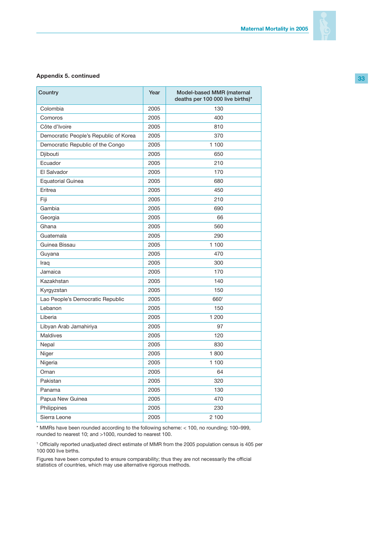

### **Appendix 5. continued**

| Country                               | Year | Model-based MMR (maternal<br>deaths per 100 000 live births)* |
|---------------------------------------|------|---------------------------------------------------------------|
| Colombia                              | 2005 | 130                                                           |
| Comoros                               | 2005 | 400                                                           |
| Côte d'Ivoire                         | 2005 | 810                                                           |
| Democratic People's Republic of Korea | 2005 | 370                                                           |
| Democratic Republic of the Congo      | 2005 | 1 100                                                         |
| Djibouti                              | 2005 | 650                                                           |
| Ecuador                               | 2005 | 210                                                           |
| El Salvador                           | 2005 | 170                                                           |
| <b>Equatorial Guinea</b>              | 2005 | 680                                                           |
| Eritrea                               | 2005 | 450                                                           |
| Fiji                                  | 2005 | 210                                                           |
| Gambia                                | 2005 | 690                                                           |
| Georgia                               | 2005 | 66                                                            |
| Ghana                                 | 2005 | 560                                                           |
| Guatemala                             | 2005 | 290                                                           |
| Guinea Bissau                         | 2005 | 1 100                                                         |
| Guyana                                | 2005 | 470                                                           |
| Iraq                                  | 2005 | 300                                                           |
| Jamaica                               | 2005 | 170                                                           |
| Kazakhstan                            | 2005 | 140                                                           |
| Kyrgyzstan                            | 2005 | 150                                                           |
| Lao People's Democratic Republic      | 2005 | 6601                                                          |
| Lebanon                               | 2005 | 150                                                           |
| Liberia                               | 2005 | 1 200                                                         |
| Libyan Arab Jamahiriya                | 2005 | 97                                                            |
| Maldives                              | 2005 | 120                                                           |
| Nepal                                 | 2005 | 830                                                           |
| Niger                                 | 2005 | 1800                                                          |
| Nigeria                               | 2005 | 1 100                                                         |
| Oman                                  | 2005 | 64                                                            |
| Pakistan                              | 2005 | 320                                                           |
| Panama                                | 2005 | 130                                                           |
| Papua New Guinea                      | 2005 | 470                                                           |
| Philippines                           | 2005 | 230                                                           |
| Sierra Leone                          | 2005 | 2 100                                                         |

\* MMRs have been rounded according to the following scheme: < 100, no rounding; 100–999, rounded to nearest 10; and >1000, rounded to nearest 100.

1 Officially reported unadjusted direct estimate of MMR from the 2005 population census is 405 per 100 000 live births.

Figures have been computed to ensure comparability; thus they are not necessarily the official statistics of countries, which may use alternative rigorous methods.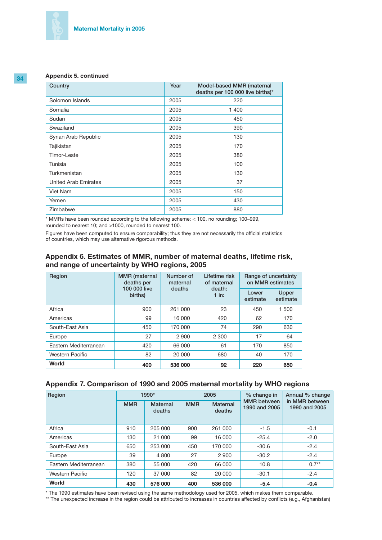### **Appendix 5. continued**

| Country                     | Year | Model-based MMR (maternal<br>deaths per 100 000 live births)* |
|-----------------------------|------|---------------------------------------------------------------|
| Solomon Islands             | 2005 | 220                                                           |
| Somalia                     | 2005 | 1 400                                                         |
| Sudan                       | 2005 | 450                                                           |
| Swaziland                   | 2005 | 390                                                           |
| Syrian Arab Republic        | 2005 | 130                                                           |
| Tajikistan                  | 2005 | 170                                                           |
| Timor-Leste                 | 2005 | 380                                                           |
| Tunisia                     | 2005 | 100                                                           |
| Turkmenistan                | 2005 | 130                                                           |
| <b>United Arab Emirates</b> | 2005 | 37                                                            |
| Viet Nam                    | 2005 | 150                                                           |
| Yemen                       | 2005 | 430                                                           |
| Zimbabwe                    | 2005 | 880                                                           |

\* MMRs have been rounded according to the following scheme: < 100, no rounding; 100–999, rounded to nearest 10; and >1000, rounded to nearest 100.

Figures have been computed to ensure comparability; thus they are not necessarily the official statistics of countries, which may use alternative rigorous methods.

### **Appendix 6. Estimates of MMR, number of maternal deaths, lifetime risk, and range of uncertainty by WHO regions, 2005**

| Region                 | Number of<br><b>MMR</b> (maternal<br>deaths per<br>maternal |         | Lifetime risk<br>of maternal | Range of uncertainty<br>on MMR estimates |                   |  |
|------------------------|-------------------------------------------------------------|---------|------------------------------|------------------------------------------|-------------------|--|
|                        | 100 000 live<br>births)                                     | deaths  | death:<br>$1$ in:            | Lower<br>estimate                        | Upper<br>estimate |  |
| Africa                 | 900                                                         | 261 000 | 23                           | 450                                      | 1 500             |  |
| Americas               | 99                                                          | 16 000  | 420                          | 62                                       | 170               |  |
| South-East Asia        | 450                                                         | 170 000 | 74                           | 290                                      | 630               |  |
| Europe                 | 27                                                          | 2 900   | 2 3 0 0                      | 17                                       | 64                |  |
| Eastern Mediterranean  | 420                                                         | 66 000  | 61                           | 170                                      | 850               |  |
| <b>Western Pacific</b> | 82                                                          | 20 000  | 680                          | 40                                       | 170               |  |
| World                  | 400                                                         | 536 000 | 92                           | 220                                      | 650               |  |

### **Appendix 7. Comparison of 1990 and 2005 maternal mortality by WHO regions**

| Region                |            | 1990*                     |            | 2005               | % change in                         | Annual % change                 |
|-----------------------|------------|---------------------------|------------|--------------------|-------------------------------------|---------------------------------|
|                       | <b>MMR</b> | <b>Maternal</b><br>deaths | <b>MMR</b> | Maternal<br>deaths | <b>MMR</b> between<br>1990 and 2005 | in MMR between<br>1990 and 2005 |
| Africa                | 910        | 205 000                   | 900        | 261 000            | $-1.5$                              | $-0.1$                          |
| Americas              | 130        | 21 000                    | 99         | 16 000             | $-25.4$                             | $-2.0$                          |
| South-East Asia       | 650        | 253 000                   | 450        | 170 000            | $-30.6$                             | $-2.4$                          |
| Europe                | 39         | 4 800                     | 27         | 2 9 0 0            | $-30.2$                             | $-2.4$                          |
| Eastern Mediterranean | 380        | 55 000                    | 420        | 66 000             | 10.8                                | $0.7**$                         |
| Western Pacific       | 120        | 37 000                    | 82         | 20 000             | $-30.1$                             | $-2.4$                          |
| World                 | 430        | 576 000                   | 400        | 536 000            | $-5.4$                              | $-0.4$                          |

\* The 1990 estimates have been revised using the same methodology used for 2005, which makes them comparable.

\*\* The unexpected increase in the region could be attributed to increases in countries affected by conflicts (e.g., Afghanistan)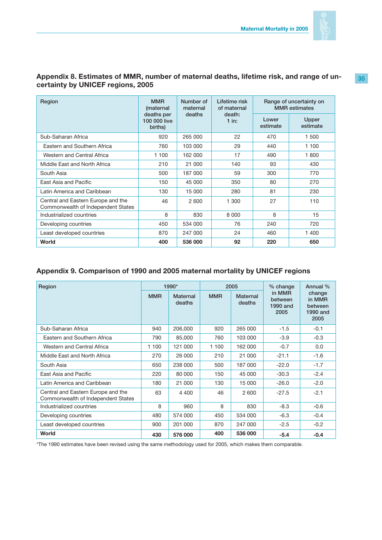

# **Appendix 8. Estimates of MMR, number of maternal deaths, lifetime risk, and range of uncertainty by UNICEF regions, 2005**

| Region                                                                   | <b>MMR</b><br>Number of<br>(maternal<br>maternal |         | Lifetime risk<br>of maternal | Range of uncertainty on<br><b>MMR</b> estimates |                   |  |
|--------------------------------------------------------------------------|--------------------------------------------------|---------|------------------------------|-------------------------------------------------|-------------------|--|
|                                                                          | deaths per<br>100 000 live<br>births)            | deaths  | death:<br>$1$ in:            | Lower<br>estimate                               | Upper<br>estimate |  |
| Sub-Saharan Africa                                                       | 920                                              | 265 000 | 22                           | 470                                             | 1 500             |  |
| Eastern and Southern Africa                                              | 760                                              | 103 000 | 29                           | 440                                             | 1 100             |  |
| Western and Central Africa                                               | 1 100                                            | 162 000 | 17                           | 490                                             | 1800              |  |
| Middle East and North Africa                                             | 210                                              | 21 000  | 140                          | 93                                              | 430               |  |
| South Asia                                                               | 500                                              | 187 000 | 59                           | 300                                             | 770               |  |
| East Asia and Pacific                                                    | 150                                              | 45 000  | 350                          | 80                                              | 270               |  |
| Latin America and Caribbean                                              | 130                                              | 15 000  | 280                          | 81                                              | 230               |  |
| Central and Eastern Europe and the<br>Commonwealth of Independent States | 46                                               | 2600    | 1 300                        | 27                                              | 110               |  |
| Industrialized countries                                                 | 8                                                | 830     | 8 0 0 0                      | 8                                               | 15                |  |
| Developing countries                                                     | 450                                              | 534 000 | 76                           | 240                                             | 720               |  |
| Least developed countries                                                | 870                                              | 247 000 | 24                           | 460                                             | 1 400             |  |
| World                                                                    | 400                                              | 536 000 | 92                           | 220                                             | 650               |  |

# **Appendix 9. Comparison of 1990 and 2005 maternal mortality by UNICEF regions**

| Region                                                                   |            | 1990*              |            | 2005                      | % change                              | Annual %                                        |
|--------------------------------------------------------------------------|------------|--------------------|------------|---------------------------|---------------------------------------|-------------------------------------------------|
|                                                                          | <b>MMR</b> | Maternal<br>deaths | <b>MMR</b> | <b>Maternal</b><br>deaths | in MMR<br>between<br>1990 and<br>2005 | change<br>in MMR<br>between<br>1990 and<br>2005 |
| Sub-Saharan Africa                                                       | 940        | 206,000            | 920        | 265 000                   | $-1.5$                                | $-0.1$                                          |
| Eastern and Southern Africa                                              | 790        | 85,000             | 760        | 103 000                   | $-3.9$                                | $-0.3$                                          |
| Western and Central Africa                                               | 1 100      | 121 000            | 1 100      | 162 000                   | $-0.7$                                | 0.0                                             |
| Middle East and North Africa                                             | 270        | 26 000             | 210        | 21 000                    | $-21.1$                               | $-1.6$                                          |
| South Asia                                                               | 650        | 238 000            | 500        | 187 000                   | $-22.0$                               | $-1.7$                                          |
| East Asia and Pacific                                                    | 220        | 80 000             | 150        | 45 000                    | $-30.3$                               | $-2.4$                                          |
| Latin America and Caribbean                                              | 180        | 21 000             | 130        | 15 000                    | $-26.0$                               | $-2.0$                                          |
| Central and Eastern Europe and the<br>Commonwealth of Independent States | 63         | 4 4 0 0            | 46         | 2600                      | $-27.5$                               | $-2.1$                                          |
| Industrialized countries                                                 | 8          | 960                | 8          | 830                       | $-8.3$                                | $-0.6$                                          |
| Developing countries                                                     | 480        | 574 000            | 450        | 534 000                   | $-6.3$                                | $-0.4$                                          |
| Least developed countries                                                | 900        | 201 000            | 870        | 247 000                   | $-2.5$                                | $-0.2$                                          |
| World                                                                    | 430        | 576 000            | 400        | 536 000                   | $-5.4$                                | $-0.4$                                          |

\*The 1990 estimates have been revised using the same methodology used for 2005, which makes them comparable.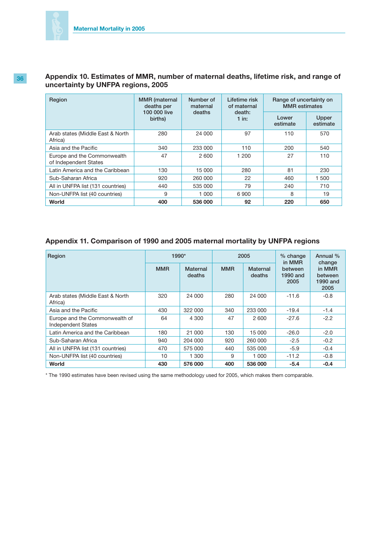

# **36 Appendix 10. Estimates of MMR, number of maternal deaths, lifetime risk, and range of uncertainty by UNFPA regions, 2005**

| Region                                               | <b>MMR</b> (maternal<br>deaths per | Number of<br>maternal | Lifetime risk<br>of maternal | Range of uncertainty on<br><b>MMR</b> estimates |                   |  |
|------------------------------------------------------|------------------------------------|-----------------------|------------------------------|-------------------------------------------------|-------------------|--|
|                                                      | 100 000 live<br>births)            | deaths                | death:<br>$1$ in:            | Lower<br>estimate                               | Upper<br>estimate |  |
| Arab states (Middle East & North<br>Africa)          | 280                                | 24 000                | 97                           | 110                                             | 570               |  |
| Asia and the Pacific                                 | 340                                | 233 000               | 110                          | 200                                             | 540               |  |
| Europe and the Commonwealth<br>of Independent States | 47                                 | 2 600                 | 1 200                        | 27                                              | 110               |  |
| Latin America and the Caribbean                      | 130                                | 15 000                | 280                          | 81                                              | 230               |  |
| Sub-Saharan Africa                                   | 920                                | 260 000               | 22                           | 460                                             | 1 500             |  |
| All in UNFPA list (131 countries)                    | 440                                | 535 000               | 79                           | 240                                             | 710               |  |
| Non-UNFPA list (40 countries)                        | 9                                  | 1 000                 | 6900                         | 8                                               | 19                |  |
| World                                                | 400                                | 536 000               | 92                           | 220                                             | 650               |  |

### **Appendix 11. Comparison of 1990 and 2005 maternal mortality by UNFPA regions**

| Region                                                      | 1990*      |                           |            | 2005                      | % change<br>in MMR          | Annual %<br>change                    |
|-------------------------------------------------------------|------------|---------------------------|------------|---------------------------|-----------------------------|---------------------------------------|
|                                                             | <b>MMR</b> | <b>Maternal</b><br>deaths | <b>MMR</b> | <b>Maternal</b><br>deaths | between<br>1990 and<br>2005 | in MMR<br>between<br>1990 and<br>2005 |
| Arab states (Middle East & North<br>Africa)                 | 320        | 24 000                    | 280        | 24 000                    | $-11.6$                     | $-0.8$                                |
| Asia and the Pacific                                        | 430        | 322 000                   | 340        | 233 000                   | $-19.4$                     | $-1.4$                                |
| Europe and the Commonwealth of<br><b>Independent States</b> | 64         | 4 300                     | 47         | 2 600                     | $-27.6$                     | $-2.2$                                |
| Latin America and the Caribbean                             | 180        | 21 000                    | 130        | 15 000                    | $-26.0$                     | $-2.0$                                |
| Sub-Saharan Africa                                          | 940        | 204 000                   | 920        | 260 000                   | $-2.5$                      | $-0.2$                                |
| All in UNFPA list (131 countries)                           | 470        | 575 000                   | 440        | 535 000                   | $-5.9$                      | $-0.4$                                |
| Non-UNFPA list (40 countries)                               | 10         | 1 300                     | 9          | 1 000                     | $-11.2$                     | $-0.8$                                |
| World                                                       | 430        | 576 000                   | 400        | 536 000                   | $-5.4$                      | $-0.4$                                |

\* The 1990 estimates have been revised using the same methodology used for 2005, which makes them comparable.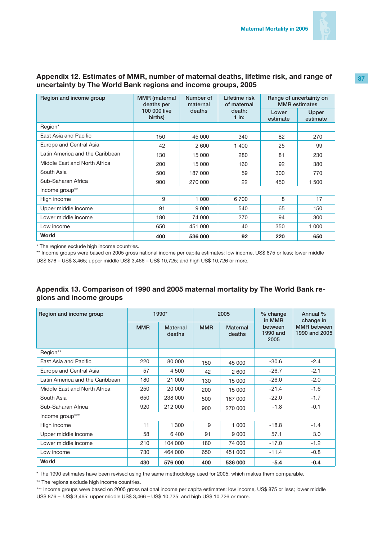

#### **Region and income group MMR (maternal deaths per 100 000 live births) Number of maternal deaths Lifetime risk of maternal death: 1 in: Range of uncertainty on MMR estimates Lower estimate Upper estimate** Region\* East Asia and Pacific **150** 150 45 000 340 82 270 Europe and Central Asia 2 42 2 600 1 400 25 99 Latin America and the Caribbean 130 15 000 280 81 230 Middle East and North Africa | 200 15 000 160 92 380 South Asia 500 187 000 59 300 770 Sub-Saharan Africa 1900 270 000 22 450 1500 Income group\*\* High income 9 1 000 6 700 8 17 Upper middle income 91 9000 540 65 150 Lower middle income 180 180 74 000 270 94 300 Low income 650 451 000 40 350 1 000 **World 400 536 000 92 220 650**

### **Appendix 12. Estimates of MMR, number of maternal deaths, lifetime risk, and range of uncertainty by The World Bank regions and income groups, 2005**

\* The regions exclude high income countries.

\*\* Income groups were based on 2005 gross national income per capita estimates: low income, US\$ 875 or less; lower middle US\$ 876 – US\$ 3,465; upper middle US\$ 3,466 – US\$ 10,725; and high US\$ 10,726 or more.

# **Appendix 13. Comparison of 1990 and 2005 maternal mortality by The World Bank regions and income groups**

| Region and income group         | 1990*      |                           | 2005       |                           | % change<br>in MMR          | Annual %<br>change in               |
|---------------------------------|------------|---------------------------|------------|---------------------------|-----------------------------|-------------------------------------|
|                                 | <b>MMR</b> | <b>Maternal</b><br>deaths | <b>MMR</b> | <b>Maternal</b><br>deaths | between<br>1990 and<br>2005 | <b>MMR</b> between<br>1990 and 2005 |
| Region**                        |            |                           |            |                           |                             |                                     |
| East Asia and Pacific           | 220        | 80 000                    | 150        | 45 000                    | $-30.6$                     | $-2.4$                              |
| Europe and Central Asia         | 57         | 4 500                     | 42         | 2 600                     | $-26.7$                     | $-2.1$                              |
| Latin America and the Caribbean | 180        | 21 000                    | 130        | 15 000                    | $-26.0$                     | $-2.0$                              |
| Middle East and North Africa    | 250        | 20 000                    | 200        | 15 000                    | $-21.4$                     | $-1.6$                              |
| South Asia                      | 650        | 238 000                   | 500        | 187 000                   | $-22.0$                     | $-1.7$                              |
| Sub-Saharan Africa              | 920        | 212 000                   | 900        | 270 000                   | $-1.8$                      | $-0.1$                              |
| Income group***                 |            |                           |            |                           |                             |                                     |
| High income                     | 11         | 1 300                     | 9          | 1 0 0 0                   | $-18.8$                     | $-1.4$                              |
| Upper middle income             | 58         | 6400                      | 91         | 9 0 0 0                   | 57.1                        | 3.0                                 |
| Lower middle income             | 210        | 104 000                   | 180        | 74 000                    | $-17.0$                     | $-1.2$                              |
| Low income                      | 730        | 464 000                   | 650        | 451 000                   | $-11.4$                     | $-0.8$                              |
| World                           | 430        | 576 000                   | 400        | 536 000                   | $-5.4$                      | $-0.4$                              |

\* The 1990 estimates have been revised using the same methodology used for 2005, which makes them comparable.

\*\* The regions exclude high income countries.

\*\*\* Income groups were based on 2005 gross national income per capita estimates: low income, US\$ 875 or less; lower middle US\$ 876 – US\$ 3,465; upper middle US\$ 3,466 – US\$ 10,725; and high US\$ 10,726 or more.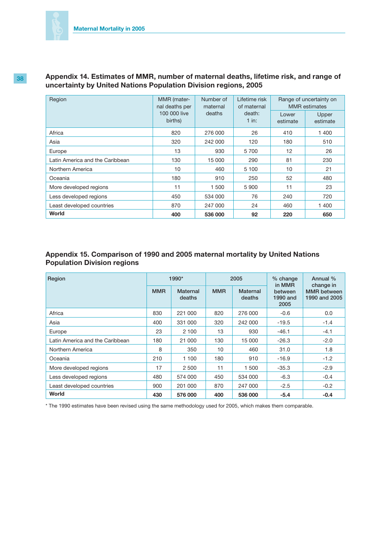| Region                          | MMR (mater-<br>nal deaths per<br>100 000 live<br>births) | Number of<br>maternal<br>deaths | Lifetime risk<br>of maternal<br>death:<br>1 in: | Range of uncertainty on<br><b>MMR</b> estimates |                   |
|---------------------------------|----------------------------------------------------------|---------------------------------|-------------------------------------------------|-------------------------------------------------|-------------------|
|                                 |                                                          |                                 |                                                 | Lower<br>estimate                               | Upper<br>estimate |
| Africa                          | 820                                                      | 276 000                         | 26                                              | 410                                             | 1 400             |
| Asia                            | 320                                                      | 242 000                         | 120                                             | 180                                             | 510               |
| Europe                          | 13                                                       | 930                             | 5700                                            | 12                                              | 26                |
| Latin America and the Caribbean | 130                                                      | 15 000                          | 290                                             | 81                                              | 230               |
| Northern America                | 10                                                       | 460                             | 5 100                                           | 10                                              | 21                |
| Oceania                         | 180                                                      | 910                             | 250                                             | 52                                              | 480               |
| More developed regions          | 11                                                       | 1 500                           | 5 9 0 0                                         | 11                                              | 23                |
| Less developed regions          | 450                                                      | 534 000                         | 76                                              | 240                                             | 720               |
| Least developed countries       | 870                                                      | 247 000                         | 24                                              | 460                                             | 1 400             |
| World                           | 400                                                      | 536 000                         | 92                                              | 220                                             | 650               |

### **38 Appendix 14. Estimates of MMR, number of maternal deaths, lifetime risk, and range of uncertainty by United Nations Population Division regions, 2005**

# **Appendix 15. Comparison of 1990 and 2005 maternal mortality by United Nations Population Division regions**

| Region                          | 1990*      |                           | 2005       |                    | % change<br>in MMR          | Annual %<br>change in               |
|---------------------------------|------------|---------------------------|------------|--------------------|-----------------------------|-------------------------------------|
|                                 | <b>MMR</b> | <b>Maternal</b><br>deaths | <b>MMR</b> | Maternal<br>deaths | between<br>1990 and<br>2005 | <b>MMR</b> between<br>1990 and 2005 |
| Africa                          | 830        | 221 000                   | 820        | 276 000            | $-0.6$                      | 0.0                                 |
| Asia                            | 400        | 331 000                   | 320        | 242 000            | $-19.5$                     | $-1.4$                              |
| Europe                          | 23         | 2 100                     | 13         | 930                | $-46.1$                     | $-4.1$                              |
| Latin America and the Caribbean | 180        | 21 000                    | 130        | 15 000             | $-26.3$                     | $-2.0$                              |
| Northern America                | 8          | 350                       | 10         | 460                | 31.0                        | 1.8                                 |
| Oceania                         | 210        | 1 100                     | 180        | 910                | $-16.9$                     | $-1.2$                              |
| More developed regions          | 17         | 2 500                     | 11         | 1 500              | $-35.3$                     | $-2.9$                              |
| Less developed regions          | 480        | 574 000                   | 450        | 534 000            | $-6.3$                      | $-0.4$                              |
| Least developed countries       | 900        | 201 000                   | 870        | 247 000            | $-2.5$                      | $-0.2$                              |
| World                           | 430        | 576 000                   | 400        | 536 000            | $-5.4$                      | $-0.4$                              |

\* The 1990 estimates have been revised using the same methodology used for 2005, which makes them comparable.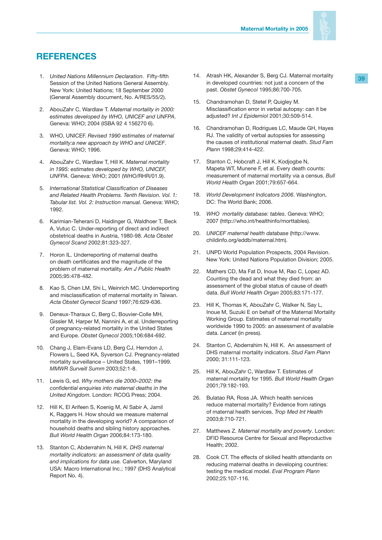

# **REFERENCES**

- 1. *United Nations Millennium Declaration*. Fifty-fifth Session of the United Nations General Assembly. New York: United Nations; 18 September 2000 (General Assembly document, No. A/RES/55/2).
- 2. AbouZahr C, Wardlaw T. *Maternal mortality in 2000: estimates developed by WHO, UNICEF and UNFPA*. Geneva: WHO; 2004 (ISBA 92 4 156270 6).
- 3. WHO, UNICEF. *Revised 1990 estimates of maternal mortality:a new approach by WHO and UNICEF*. Geneva: WHO; 1996.
- 4. AbouZahr C, Wardlaw T, Hill K. *Maternal mortality in 1995: estimates developed by WHO, UNICEF, UNFPA*. Geneva: WHO; 2001 (WHO/RHR/01.9).
- 5. *International Statistical Classification of Diseases and Related Health Problems. Tenth Revision. Vol. 1: Tabular list. Vol. 2: Instruction manual.* Geneva: WHO; 1992.
- 6. Karimian-Teherani D, Haidinger G, Waldhoer T, Beck A, Vutuc C. Under-reporting of direct and indirect obstetrical deaths in Austria, 1980-98. *Acta Obstet Gynecol Scand* 2002;81:323-327.
- 7. Horon IL. Underreporting of maternal deaths on death certificates and the magnitude of the problem of maternal mortality. *Am J Public Health* 2005;95:478-482.
- 8. Kao S, Chen LM, Shi L, Weinrich MC. Underreporting and misclassification of maternal mortality in Taiwan. *Acta Obstet Gynecol Scand* 1997;76:629-636.
- 9. Deneux-Tharaux C, Berg C, Bouvier-Colle MH, Gissler M, Harper M, Nannini A, et al. Underreporting of pregnancy-related mortality in the United States and Europe. *Obstet Gynecol* 2005;106:684-692.
- 10. Chang J, Elam-Evans LD, Berg CJ, Herndon J, Flowers L, Seed KA, Syverson CJ. Pregnancy-related mortality surveillance – United States, 1991–1999. *MMWR Surveill Summ* 2003;52:1-8.
- 11. Lewis G, ed. *Why mothers die 2000–2002: the confidential enquiries into maternal deaths in the United Kingdom*. London: RCOG Press; 2004.
- 12. Hill K, El Arifeen S, Koenig M, Al Sabir A, Jamil K, Raggers H. How should we measure maternal mortality in the developing world? A comparison of household deaths and sibling history approaches. *Bull World Health Organ* 2006;84:173-180.
- 13. Stanton C, Abderrahim N, Hill K. *DHS maternal mortality indicators: an assessment of data quality and implications for data use.* Calverton, Maryland USA: Macro International Inc.; 1997 (DHS Analytical Report No. 4).
- 14. Atrash HK, Alexander S, Berg CJ. Maternal mortality in developed countries: not just a concern of the past. *Obstet Gynecol* 1995;86:700-705.
- 15. Chandramohan D, Stetel P, Quigley M. Misclassification error in verbal autopsy: can it be adjusted? *Int J Epidemiol* 2001;30:509-514.
- 16. Chandramohan D, Rodrigues LC, Maude GH, Hayes RJ. The validity of verbal autopsies for assessing the causes of institutional maternal death. *Stud Fam Plann* 1998;29:414-422.
- 17. Stanton C, Hobcraft J, Hill K, Kodjogbe N, Mapeta WT, Munene F, et al. Every death counts: measurement of maternal mortality via a census. *Bull World Health Organ* 2001;79:657-664.
- 18. *World Development Indicators 2006*. Washington, DC: The World Bank; 2006.
- 19. *WHO mortality database: tables*. Geneva: WHO; 2007 (http://who.int/healthinfo/morttables).
- 20. *UNICEF maternal health database* (http://www. childinfo.org/eddb/maternal.htm).
- 21. UNPD World Population Prospects, 2004 Revision. New York: United Nations Population Division; 2005.
- 22. Mathers CD, Ma Fat D, Inoue M, Rao C, Lopez AD. Counting the dead and what they died from: an assessment of the global status of cause of death data. *Bull World Health Organ* 2005;83:171-177.
- 23. Hill K, Thomas K, AbouZahr C, Walker N, Say L, Inoue M, Suzuki E on behalf of the Maternal Mortality Working Group. Estimates of maternal mortality worldwide 1990 to 2005: an assessment of available data. *Lancet* (in press).
- 24. Stanton C, Abderrahim N, Hill K. An assessment of DHS maternal mortality indicators. *Stud Fam Plann* 2000; 31:111-123.
- 25. Hill K, AbouZahr C, Wardlaw T. Estimates of maternal mortality for 1995. *Bull World Health Organ* 2001;79:182-193.
- 26. Bulatao RA, Ross JA. Which health services reduce maternal mortality? Evidence from ratings of maternal health services. *Trop Med Int Health* 2003;8:710-721.
- 27. Matthews Z. *Maternal mortality and poverty*. London: DFID Resource Centre for Sexual and Reproductive Health; 2002.
- 28. Cook CT. The effects of skilled health attendants on reducing maternal deaths in developing countries: testing the medical model. *Eval Program Plann* 2002;25:107-116.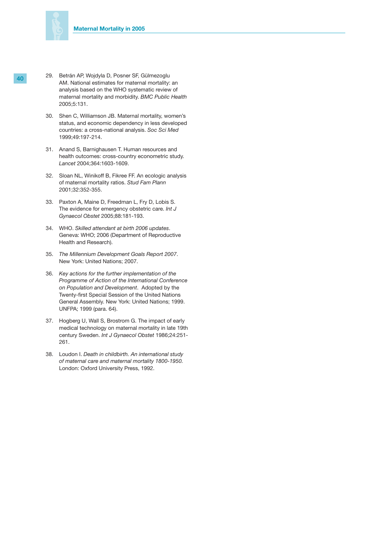

- **40** 29. Betrán AP, Wojdyla D, Posner SF, Gülmezoglu AM. National estimates for maternal mortality: an analysis based on the WHO systematic review of maternal mortality and morbidity. *BMC Public Health*  2005;5:131.
	- 30. Shen C, Williamson JB. Maternal mortality, women's status, and economic dependency in less developed countries: a cross-national analysis. *Soc Sci Med* 1999;49:197-214.
	- 31. Anand S, Barnighausen T. Human resources and health outcomes: cross-country econometric study. *Lancet* 2004;364:1603-1609.
	- 32. Sloan NL, Winikoff B, Fikree FF. An ecologic analysis of maternal mortality ratios. *Stud Fam Plann* 2001;32:352-355.
	- 33. Paxton A, Maine D, Freedman L, Fry D, Lobis S. The evidence for emergency obstetric care. *Int J Gynaecol Obstet* 2005;88:181-193.
	- 34. WHO. *Skilled attendant at birth 2006 updates*. Geneva: WHO; 2006 (Department of Reproductive Health and Research).
	- 35. *The Millennium Development Goals Report 2007*. New York: United Nations; 2007.
	- 36. *Key actions for the further implementation of the Programme of Action of the International Conference on Population and Development*. Adopted by the Twenty-first Special Session of the United Nations General Assembly. New York: United Nations; 1999. UNFPA; 1999 (para. 64).
	- 37. Hogberg U, Wall S, Brostrom G. The impact of early medical technology on maternal mortality in late 19th century Sweden. *Int J Gynaecol Obstet* 1986;24:251- 261.
	- 38. Loudon I. *Death in childbirth. An international study of maternal care and maternal mortality 1800-1950.* London: Oxford University Press, 1992.